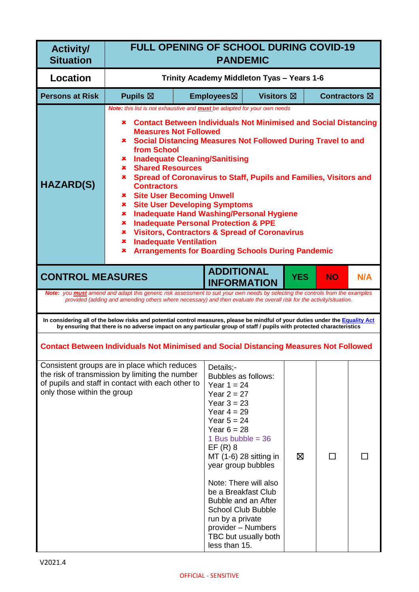| <b>Activity/</b><br><b>Situation</b>                                                                                                                                                                                                                                                                                                                                                                                                                                                                                                                                                                                                                                                                                                                                                                                                                                                             | <b>FULL OPENING OF SCHOOL DURING COVID-19</b><br><b>PANDEMIC</b>                                                                                                                                                                                      |                                                                                                                                                                   |                                                                                                                                                                                                                                              |            |                      |     |
|--------------------------------------------------------------------------------------------------------------------------------------------------------------------------------------------------------------------------------------------------------------------------------------------------------------------------------------------------------------------------------------------------------------------------------------------------------------------------------------------------------------------------------------------------------------------------------------------------------------------------------------------------------------------------------------------------------------------------------------------------------------------------------------------------------------------------------------------------------------------------------------------------|-------------------------------------------------------------------------------------------------------------------------------------------------------------------------------------------------------------------------------------------------------|-------------------------------------------------------------------------------------------------------------------------------------------------------------------|----------------------------------------------------------------------------------------------------------------------------------------------------------------------------------------------------------------------------------------------|------------|----------------------|-----|
| <b>Location</b>                                                                                                                                                                                                                                                                                                                                                                                                                                                                                                                                                                                                                                                                                                                                                                                                                                                                                  |                                                                                                                                                                                                                                                       | Trinity Academy Middleton Tyas - Years 1-6                                                                                                                        |                                                                                                                                                                                                                                              |            |                      |     |
| <b>Persons at Risk</b>                                                                                                                                                                                                                                                                                                                                                                                                                                                                                                                                                                                                                                                                                                                                                                                                                                                                           | Pupils $\boxtimes$                                                                                                                                                                                                                                    | Employees⊠                                                                                                                                                        | Visitors $\boxtimes$                                                                                                                                                                                                                         |            | <b>Contractors</b> ⊠ |     |
| Note: this list is not exhaustive and <b>must</b> be adapted for your own needs<br><b>Contact Between Individuals Not Minimised and Social Distancing</b><br>×<br><b>Measures Not Followed</b><br><b>*</b> Social Distancing Measures Not Followed During Travel to and<br>from School<br><b>Inadequate Cleaning/Sanitising</b><br>×.<br><b>Shared Resources</b><br>$\pmb{x}$ .<br>Spread of Coronavirus to Staff, Pupils and Families, Visitors and<br>x.<br><b>HAZARD(S)</b><br><b>Contractors</b><br><b>*</b> Site User Becoming Unwell<br><b>Site User Developing Symptoms</b><br>$\pmb{\times}$<br><b>Inadequate Hand Washing/Personal Hygiene</b><br>×.<br><b>Inadequate Personal Protection &amp; PPE</b><br>×.<br><b>Visitors, Contractors &amp; Spread of Coronavirus</b><br>×.<br><b>Inadequate Ventilation</b><br>x.<br><b>Arrangements for Boarding Schools During Pandemic</b><br>× |                                                                                                                                                                                                                                                       |                                                                                                                                                                   |                                                                                                                                                                                                                                              |            |                      |     |
| <b>CONTROL MEASURES</b>                                                                                                                                                                                                                                                                                                                                                                                                                                                                                                                                                                                                                                                                                                                                                                                                                                                                          | Note: you <b>must</b> amend and adapt this generic risk assessment to suit your own needs by selecting the controls from the examples                                                                                                                 |                                                                                                                                                                   | <b>ADDITIONAL</b><br><b>INFORMATION</b>                                                                                                                                                                                                      | <b>YES</b> | <b>NO</b>            | N/A |
|                                                                                                                                                                                                                                                                                                                                                                                                                                                                                                                                                                                                                                                                                                                                                                                                                                                                                                  | provided (adding and amending others where necessary) and then evaluate the overall risk for the activity/situation.                                                                                                                                  |                                                                                                                                                                   |                                                                                                                                                                                                                                              |            |                      |     |
|                                                                                                                                                                                                                                                                                                                                                                                                                                                                                                                                                                                                                                                                                                                                                                                                                                                                                                  | In considering all of the below risks and potential control measures, please be mindful of your duties under the Equality Act<br>by ensuring that there is no adverse impact on any particular group of staff / pupils with protected characteristics |                                                                                                                                                                   |                                                                                                                                                                                                                                              |            |                      |     |
|                                                                                                                                                                                                                                                                                                                                                                                                                                                                                                                                                                                                                                                                                                                                                                                                                                                                                                  | <b>Contact Between Individuals Not Minimised and Social Distancing Measures Not Followed</b>                                                                                                                                                          |                                                                                                                                                                   |                                                                                                                                                                                                                                              |            |                      |     |
| only those within the group                                                                                                                                                                                                                                                                                                                                                                                                                                                                                                                                                                                                                                                                                                                                                                                                                                                                      | Consistent groups are in place which reduces<br>the risk of transmission by limiting the number<br>of pupils and staff in contact with each other to                                                                                                  | Details:-<br>Year $1 = 24$<br>Year $2 = 27$<br>Year $3 = 23$<br>Year $4 = 29$<br>Year $5 = 24$<br>Year $6 = 28$<br>$EF(R)$ 8<br>run by a private<br>less than 15. | Bubbles as follows:<br>1 Bus bubble = $36$<br>MT (1-6) 28 sitting in<br>year group bubbles<br>Note: There will also<br>be a Breakfast Club<br>Bubble and an After<br><b>School Club Bubble</b><br>provider - Numbers<br>TBC but usually both | ⊠          | $\Box$               |     |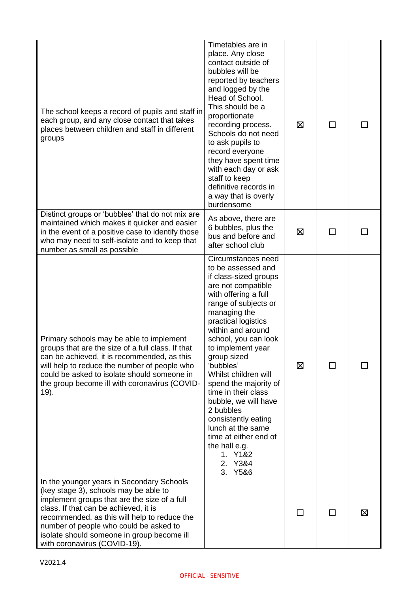| The school keeps a record of pupils and staff in<br>each group, and any close contact that takes<br>places between children and staff in different<br>groups                                                                                                                                                                                        | Timetables are in<br>place. Any close<br>contact outside of<br>bubbles will be<br>reported by teachers<br>and logged by the<br>Head of School.<br>This should be a<br>proportionate<br>recording process.<br>Schools do not need<br>to ask pupils to<br>record everyone<br>they have spent time<br>with each day or ask<br>staff to keep<br>definitive records in<br>a way that is overly<br>burdensome                                                                                                                | ⊠      | ΙI           |   |
|-----------------------------------------------------------------------------------------------------------------------------------------------------------------------------------------------------------------------------------------------------------------------------------------------------------------------------------------------------|------------------------------------------------------------------------------------------------------------------------------------------------------------------------------------------------------------------------------------------------------------------------------------------------------------------------------------------------------------------------------------------------------------------------------------------------------------------------------------------------------------------------|--------|--------------|---|
| Distinct groups or 'bubbles' that do not mix are<br>maintained which makes it quicker and easier<br>in the event of a positive case to identify those<br>who may need to self-isolate and to keep that<br>number as small as possible                                                                                                               | As above, there are<br>6 bubbles, plus the<br>bus and before and<br>after school club                                                                                                                                                                                                                                                                                                                                                                                                                                  | ⊠      |              |   |
| Primary schools may be able to implement<br>groups that are the size of a full class. If that<br>can be achieved, it is recommended, as this<br>will help to reduce the number of people who<br>could be asked to isolate should someone in<br>the group become ill with coronavirus (COVID-<br>19).                                                | Circumstances need<br>to be assessed and<br>if class-sized groups<br>are not compatible<br>with offering a full<br>range of subjects or<br>managing the<br>practical logistics<br>within and around<br>school, you can look<br>to implement year<br>group sized<br>'bubbles'<br>Whilst children will<br>spend the majority of<br>time in their class<br>bubble, we will have<br>2 bubbles<br>consistently eating<br>lunch at the same<br>time at either end of<br>the hall e.g.<br>1. Y1&2<br>Y3&4<br>2.<br>Y5&6<br>3. | ⊠      | ΙI           |   |
| In the younger years in Secondary Schools<br>(key stage 3), schools may be able to<br>implement groups that are the size of a full<br>class. If that can be achieved, it is<br>recommended, as this will help to reduce the<br>number of people who could be asked to<br>isolate should someone in group become ill<br>with coronavirus (COVID-19). |                                                                                                                                                                                                                                                                                                                                                                                                                                                                                                                        | $\Box$ | $\mathbf{L}$ | ⊠ |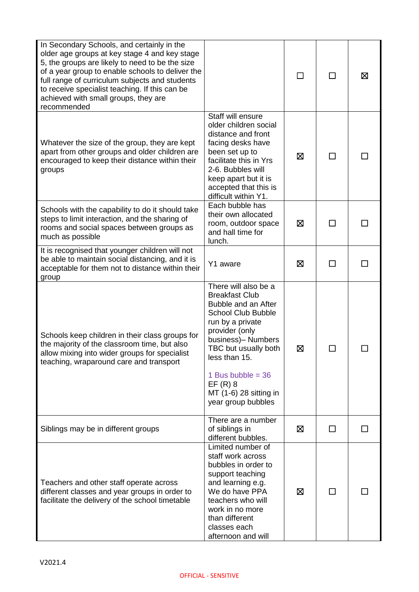| In Secondary Schools, and certainly in the<br>older age groups at key stage 4 and key stage<br>5, the groups are likely to need to be the size<br>of a year group to enable schools to deliver the<br>full range of curriculum subjects and students<br>to receive specialist teaching. If this can be<br>achieved with small groups, they are<br>recommended |                                                                                                                                                                                                                                                                                            |   |   | Σ |
|---------------------------------------------------------------------------------------------------------------------------------------------------------------------------------------------------------------------------------------------------------------------------------------------------------------------------------------------------------------|--------------------------------------------------------------------------------------------------------------------------------------------------------------------------------------------------------------------------------------------------------------------------------------------|---|---|---|
| Whatever the size of the group, they are kept<br>apart from other groups and older children are<br>encouraged to keep their distance within their<br>groups                                                                                                                                                                                                   | Staff will ensure<br>older children social<br>distance and front<br>facing desks have<br>been set up to<br>facilitate this in Yrs<br>2-6. Bubbles will<br>keep apart but it is<br>accepted that this is<br>difficult within Y1.                                                            | ⊠ |   |   |
| Schools with the capability to do it should take<br>steps to limit interaction, and the sharing of<br>rooms and social spaces between groups as<br>much as possible                                                                                                                                                                                           | Each bubble has<br>their own allocated<br>room, outdoor space<br>and hall time for<br>lunch.                                                                                                                                                                                               | 区 |   |   |
| It is recognised that younger children will not<br>be able to maintain social distancing, and it is<br>acceptable for them not to distance within their<br>group                                                                                                                                                                                              | Y1 aware                                                                                                                                                                                                                                                                                   | ⊠ | П |   |
| Schools keep children in their class groups for<br>the majority of the classroom time, but also<br>allow mixing into wider groups for specialist<br>teaching, wraparound care and transport                                                                                                                                                                   | There will also be a<br><b>Breakfast Club</b><br>Bubble and an After<br><b>School Club Bubble</b><br>run by a private<br>provider (only<br>business)- Numbers<br>TBC but usually both<br>less than 15.<br>1 Bus bubble = $36$<br>$EF(R)$ 8<br>MT (1-6) 28 sitting in<br>year group bubbles | ⊠ |   |   |
| Siblings may be in different groups                                                                                                                                                                                                                                                                                                                           | There are a number<br>of siblings in<br>different bubbles.                                                                                                                                                                                                                                 | ⊠ | □ |   |
| Teachers and other staff operate across<br>different classes and year groups in order to<br>facilitate the delivery of the school timetable                                                                                                                                                                                                                   | Limited number of<br>staff work across<br>bubbles in order to<br>support teaching<br>and learning e.g.<br>We do have PPA<br>teachers who will<br>work in no more<br>than different<br>classes each<br>afternoon and will                                                                   | ⊠ |   |   |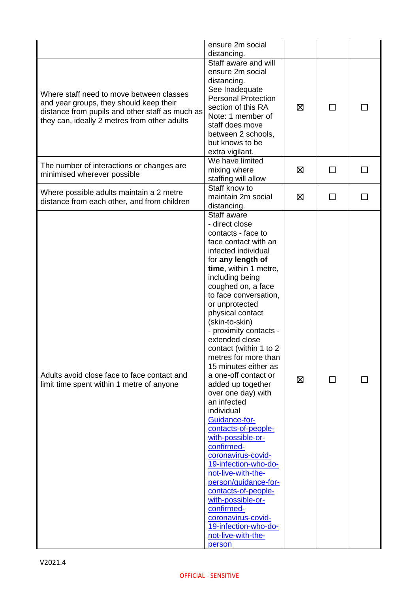|                                                                                                                                                                                        | ensure 2m social                                                                                                                                                                                                                                                                                                                                                                                                                                                                                                                                                                                                                                                                                                                                                                                                |   |              |              |
|----------------------------------------------------------------------------------------------------------------------------------------------------------------------------------------|-----------------------------------------------------------------------------------------------------------------------------------------------------------------------------------------------------------------------------------------------------------------------------------------------------------------------------------------------------------------------------------------------------------------------------------------------------------------------------------------------------------------------------------------------------------------------------------------------------------------------------------------------------------------------------------------------------------------------------------------------------------------------------------------------------------------|---|--------------|--------------|
| Where staff need to move between classes<br>and year groups, they should keep their<br>distance from pupils and other staff as much as<br>they can, ideally 2 metres from other adults | distancing.<br>Staff aware and will<br>ensure 2m social<br>distancing.<br>See Inadequate<br><b>Personal Protection</b><br>section of this RA<br>Note: 1 member of<br>staff does move<br>between 2 schools,<br>but knows to be<br>extra vigilant.                                                                                                                                                                                                                                                                                                                                                                                                                                                                                                                                                                | ⊠ | П            |              |
| The number of interactions or changes are<br>minimised wherever possible                                                                                                               | We have limited<br>mixing where<br>staffing will allow                                                                                                                                                                                                                                                                                                                                                                                                                                                                                                                                                                                                                                                                                                                                                          | ⊠ | $\mathsf{L}$ |              |
| Where possible adults maintain a 2 metre<br>distance from each other, and from children                                                                                                | Staff know to<br>maintain 2m social<br>distancing.                                                                                                                                                                                                                                                                                                                                                                                                                                                                                                                                                                                                                                                                                                                                                              | 区 | $\Box$       | $\mathsf{L}$ |
| Adults avoid close face to face contact and<br>limit time spent within 1 metre of anyone                                                                                               | Staff aware<br>- direct close<br>contacts - face to<br>face contact with an<br>infected individual<br>for any length of<br>time, within 1 metre,<br>including being<br>coughed on, a face<br>to face conversation,<br>or unprotected<br>physical contact<br>(skin-to-skin)<br>- proximity contacts -<br>extended close<br>contact (within 1 to 2<br>metres for more than<br>15 minutes either as<br>a one-off contact or<br>added up together<br>over one day) with<br>an infected<br>individual<br>Guidance-for-<br>contacts-of-people-<br>with-possible-or-<br>confirmed-<br>coronavirus-covid-<br>19-infection-who-do-<br>not-live-with-the-<br>person/guidance-for-<br>contacts-of-people-<br>with-possible-or-<br>confirmed-<br>coronavirus-covid-<br>19-infection-who-do-<br>not-live-with-the-<br>person | ⊠ | П            |              |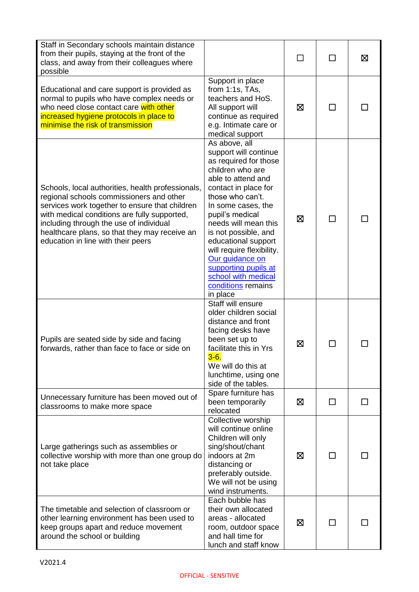| Staff in Secondary schools maintain distance<br>from their pupils, staying at the front of the<br>class, and away from their colleagues where<br>possible                                                                                                                                                                         |                                                                                                                                                                                                                                                                                                                                                                                                        | $\Box$ | $\mathbf{I}$ | 区 |
|-----------------------------------------------------------------------------------------------------------------------------------------------------------------------------------------------------------------------------------------------------------------------------------------------------------------------------------|--------------------------------------------------------------------------------------------------------------------------------------------------------------------------------------------------------------------------------------------------------------------------------------------------------------------------------------------------------------------------------------------------------|--------|--------------|---|
| Educational and care support is provided as<br>normal to pupils who have complex needs or<br>who need close contact care with other<br>increased hygiene protocols in place to<br>minimise the risk of transmission                                                                                                               | Support in place<br>from $1:1s$ , TAs,<br>teachers and HoS.<br>All support will<br>continue as required<br>e.g. Intimate care or<br>medical support                                                                                                                                                                                                                                                    | 区      |              |   |
| Schools, local authorities, health professionals,<br>regional schools commissioners and other<br>services work together to ensure that children<br>with medical conditions are fully supported,<br>including through the use of individual<br>healthcare plans, so that they may receive an<br>education in line with their peers | As above, all<br>support will continue<br>as required for those<br>children who are<br>able to attend and<br>contact in place for<br>those who can't.<br>In some cases, the<br>pupil's medical<br>needs will mean this<br>is not possible, and<br>educational support<br>will require flexibility.<br>Our quidance on<br>supporting pupils at<br>school with medical<br>conditions remains<br>in place | 区      | $\mathbf{I}$ |   |
| Pupils are seated side by side and facing<br>forwards, rather than face to face or side on                                                                                                                                                                                                                                        | Staff will ensure<br>older children social<br>distance and front<br>facing desks have<br>been set up to<br>facilitate this in Yrs<br>$3-6.$<br>We will do this at<br>lunchtime, using one<br>side of the tables.                                                                                                                                                                                       | ⊠      |              |   |
| Unnecessary furniture has been moved out of<br>classrooms to make more space                                                                                                                                                                                                                                                      | Spare furniture has<br>been temporarily<br>relocated                                                                                                                                                                                                                                                                                                                                                   | ⊠      | $\mathsf{L}$ |   |
| Large gatherings such as assemblies or<br>collective worship with more than one group do<br>not take place                                                                                                                                                                                                                        | Collective worship<br>will continue online<br>Children will only<br>sing/shout/chant<br>indoors at 2m<br>distancing or<br>preferably outside.<br>We will not be using<br>wind instruments.                                                                                                                                                                                                             | ⊠      |              |   |
| The timetable and selection of classroom or<br>other learning environment has been used to<br>keep groups apart and reduce movement<br>around the school or building                                                                                                                                                              | Each bubble has<br>their own allocated<br>areas - allocated<br>room, outdoor space<br>and hall time for<br>lunch and staff know                                                                                                                                                                                                                                                                        | 区      |              |   |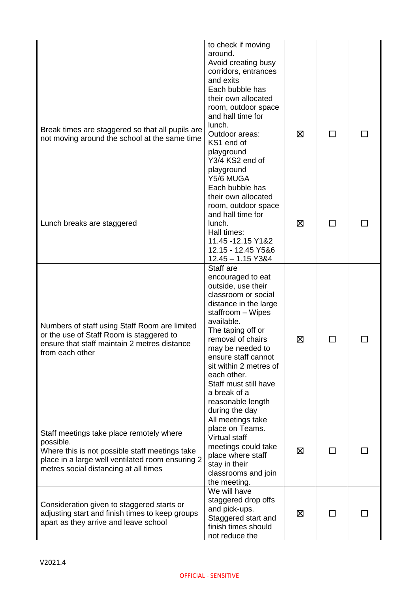|                                                                                                                                                                                                      | to check if moving<br>around.<br>Avoid creating busy<br>corridors, entrances<br>and exits                                                                                                                                                                                                                                                             |   |                |  |
|------------------------------------------------------------------------------------------------------------------------------------------------------------------------------------------------------|-------------------------------------------------------------------------------------------------------------------------------------------------------------------------------------------------------------------------------------------------------------------------------------------------------------------------------------------------------|---|----------------|--|
| Break times are staggered so that all pupils are<br>not moving around the school at the same time                                                                                                    | Each bubble has<br>their own allocated<br>room, outdoor space<br>and hall time for<br>lunch.<br>Outdoor areas:<br>KS1 end of<br>playground<br>Y3/4 KS2 end of<br>playground<br>Y5/6 MUGA                                                                                                                                                              | ⊠ | $\Box$         |  |
| Lunch breaks are staggered                                                                                                                                                                           | Each bubble has<br>their own allocated<br>room, outdoor space<br>and hall time for<br>lunch.<br>Hall times:<br>11.45 - 12.15 Y1&2<br>12.15 - 12.45 Y5&6<br>$12.45 - 1.15$ Y3&4                                                                                                                                                                        | ⊠ | $\mathsf{L}$   |  |
| Numbers of staff using Staff Room are limited<br>or the use of Staff Room is staggered to<br>ensure that staff maintain 2 metres distance<br>from each other                                         | Staff are<br>encouraged to eat<br>outside, use their<br>classroom or social<br>distance in the large<br>staffroom - Wipes<br>available.<br>The taping off or<br>removal of chairs<br>may be needed to<br>ensure staff cannot<br>sit within 2 metres of<br>each other.<br>Staff must still have<br>a break of a<br>reasonable length<br>during the day | ⊠ | ΙI             |  |
| Staff meetings take place remotely where<br>possible.<br>Where this is not possible staff meetings take<br>place in a large well ventilated room ensuring 2<br>metres social distancing at all times | All meetings take<br>place on Teams.<br>Virtual staff<br>meetings could take<br>place where staff<br>stay in their<br>classrooms and join<br>the meeting.                                                                                                                                                                                             | ⊠ | $\Box$         |  |
| Consideration given to staggered starts or<br>adjusting start and finish times to keep groups<br>apart as they arrive and leave school                                                               | We will have<br>staggered drop offs<br>and pick-ups.<br>Staggered start and<br>finish times should<br>not reduce the                                                                                                                                                                                                                                  | ⊠ | $\blacksquare$ |  |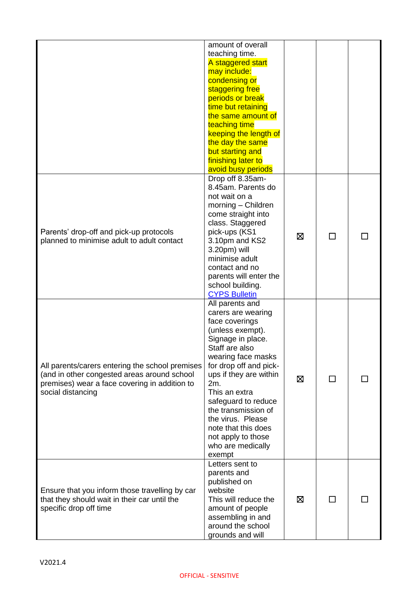|                                                 | amount of overall<br>teaching time.<br>A staggered start |   |  |
|-------------------------------------------------|----------------------------------------------------------|---|--|
|                                                 | may include:                                             |   |  |
|                                                 | condensing or                                            |   |  |
|                                                 | staggering free                                          |   |  |
|                                                 | periods or break<br>time but retaining                   |   |  |
|                                                 | the same amount of                                       |   |  |
|                                                 | teaching time                                            |   |  |
|                                                 | keeping the length of                                    |   |  |
|                                                 | the day the same                                         |   |  |
|                                                 | but starting and                                         |   |  |
|                                                 | finishing later to                                       |   |  |
|                                                 | avoid busy periods                                       |   |  |
|                                                 | Drop off 8.35am-<br>8.45am. Parents do                   |   |  |
|                                                 | not wait on a                                            |   |  |
|                                                 | morning - Children                                       |   |  |
|                                                 | come straight into                                       |   |  |
|                                                 | class. Staggered                                         |   |  |
| Parents' drop-off and pick-up protocols         | pick-ups (KS1                                            | ⊠ |  |
| planned to minimise adult to adult contact      | 3.10pm and KS2                                           |   |  |
|                                                 | 3.20pm) will<br>minimise adult                           |   |  |
|                                                 | contact and no                                           |   |  |
|                                                 | parents will enter the                                   |   |  |
|                                                 | school building.                                         |   |  |
|                                                 | <b>CYPS Bulletin</b>                                     |   |  |
|                                                 | All parents and                                          |   |  |
|                                                 | carers are wearing                                       |   |  |
|                                                 | face coverings<br>(unless exempt).                       |   |  |
|                                                 | Signage in place.                                        |   |  |
|                                                 | Staff are also                                           |   |  |
|                                                 | wearing face masks                                       |   |  |
| All parents/carers entering the school premises | for drop off and pick-                                   |   |  |
| (and in other congested areas around school     | ups if they are within                                   | ⊠ |  |
| premises) wear a face covering in addition to   | 2m.                                                      |   |  |
| social distancing                               | This an extra<br>safeguard to reduce                     |   |  |
|                                                 | the transmission of                                      |   |  |
|                                                 | the virus. Please                                        |   |  |
|                                                 | note that this does                                      |   |  |
|                                                 | not apply to those                                       |   |  |
|                                                 | who are medically                                        |   |  |
|                                                 | exempt                                                   |   |  |
|                                                 | Letters sent to<br>parents and                           |   |  |
|                                                 | published on                                             |   |  |
| Ensure that you inform those travelling by car  | website                                                  |   |  |
| that they should wait in their car until the    | This will reduce the                                     | ⊠ |  |
| specific drop off time                          | amount of people                                         |   |  |
|                                                 | assembling in and                                        |   |  |
|                                                 | around the school<br>grounds and will                    |   |  |
|                                                 |                                                          |   |  |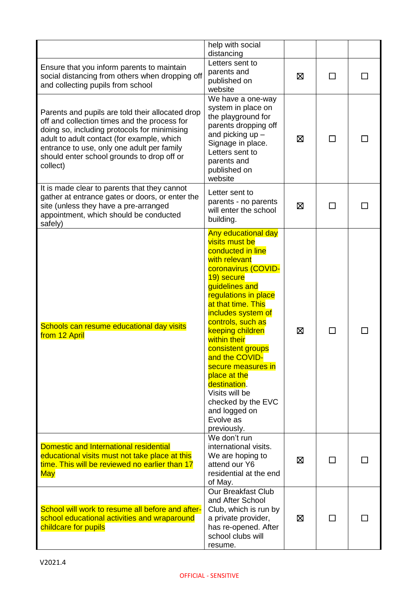|                                                                                                                                                                                                                                                                                                        | help with social<br>distancing                                                                                                                                                                                                                                                                                                                                                                                                                           |   |                          |  |
|--------------------------------------------------------------------------------------------------------------------------------------------------------------------------------------------------------------------------------------------------------------------------------------------------------|----------------------------------------------------------------------------------------------------------------------------------------------------------------------------------------------------------------------------------------------------------------------------------------------------------------------------------------------------------------------------------------------------------------------------------------------------------|---|--------------------------|--|
| Ensure that you inform parents to maintain<br>social distancing from others when dropping off<br>and collecting pupils from school                                                                                                                                                                     | Letters sent to<br>parents and<br>published on<br>website                                                                                                                                                                                                                                                                                                                                                                                                | ⊠ | ΙI                       |  |
| Parents and pupils are told their allocated drop<br>off and collection times and the process for<br>doing so, including protocols for minimising<br>adult to adult contact (for example, which<br>entrance to use, only one adult per family<br>should enter school grounds to drop off or<br>collect) | We have a one-way<br>system in place on<br>the playground for<br>parents dropping off<br>and picking $up -$<br>Signage in place.<br>Letters sent to<br>parents and<br>published on<br>website                                                                                                                                                                                                                                                            | ⊠ | $\overline{\phantom{0}}$ |  |
| It is made clear to parents that they cannot<br>gather at entrance gates or doors, or enter the<br>site (unless they have a pre-arranged<br>appointment, which should be conducted<br>safely)                                                                                                          | Letter sent to<br>parents - no parents<br>will enter the school<br>building.                                                                                                                                                                                                                                                                                                                                                                             | ⊠ |                          |  |
| Schools can resume educational day visits<br>from 12 April                                                                                                                                                                                                                                             | <b>Any educational day</b><br>visits must be<br>conducted in line<br>with relevant<br>coronavirus (COVID-<br>19) secure<br>guidelines and<br>regulations in place<br>at that time. This<br>includes system of<br>controls, such as<br>keeping children<br>within their<br>consistent groups<br>and the COVID-<br>secure measures in<br>place at the<br>destination.<br>Visits will be<br>checked by the EVC<br>and logged on<br>Evolve as<br>previously. | ⊠ | $\Box$                   |  |
| Domestic and International residential<br>educational visits must not take place at this<br>time. This will be reviewed no earlier than 17<br><b>May</b>                                                                                                                                               | We don't run<br>international visits.<br>We are hoping to<br>attend our Y6<br>residential at the end<br>of May.                                                                                                                                                                                                                                                                                                                                          | ⊠ |                          |  |
| School will work to resume all before and after-<br>school educational activities and wraparound<br>childcare for pupils                                                                                                                                                                               | <b>Our Breakfast Club</b><br>and After School<br>Club, which is run by<br>a private provider,<br>has re-opened. After<br>school clubs will<br>resume.                                                                                                                                                                                                                                                                                                    | ⊠ | ΙI                       |  |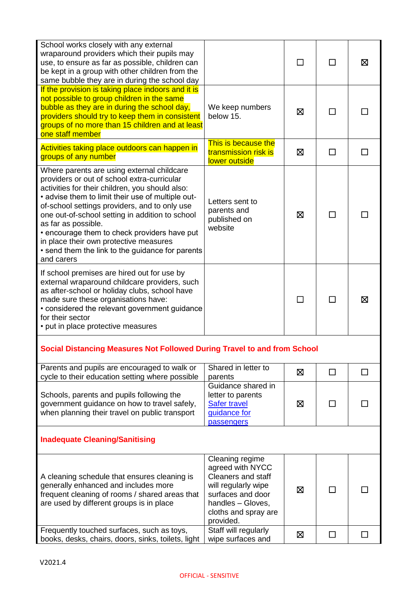| School works closely with any external<br>wraparound providers which their pupils may<br>use, to ensure as far as possible, children can<br>be kept in a group with other children from the<br>same bubble they are in during the school day                                                                                                                                                                                                                                             |                                                                                                                                                                        |   | ΙI     | ⊠      |
|------------------------------------------------------------------------------------------------------------------------------------------------------------------------------------------------------------------------------------------------------------------------------------------------------------------------------------------------------------------------------------------------------------------------------------------------------------------------------------------|------------------------------------------------------------------------------------------------------------------------------------------------------------------------|---|--------|--------|
| If the provision is taking place indoors and it is<br>not possible to group children in the same<br>bubble as they are in during the school day,<br>providers should try to keep them in consistent<br>groups of no more than 15 children and at least<br>one staff member                                                                                                                                                                                                               | We keep numbers<br>below 15.                                                                                                                                           | ⊠ | ΙI     |        |
| Activities taking place outdoors can happen in<br>groups of any number                                                                                                                                                                                                                                                                                                                                                                                                                   | This is because the<br>transmission risk is<br>lower outside                                                                                                           | ⊠ | ΙI     |        |
| Where parents are using external childcare<br>providers or out of school extra-curricular<br>activities for their children, you should also:<br>• advise them to limit their use of multiple out-<br>of-school settings providers, and to only use<br>one out-of-school setting in addition to school<br>as far as possible.<br>• encourage them to check providers have put<br>in place their own protective measures<br>• send them the link to the guidance for parents<br>and carers | Letters sent to<br>parents and<br>published on<br>website                                                                                                              | ⊠ |        |        |
| If school premises are hired out for use by<br>external wraparound childcare providers, such<br>as after-school or holiday clubs, school have<br>made sure these organisations have:<br>• considered the relevant government guidance<br>for their sector<br>• put in place protective measures                                                                                                                                                                                          |                                                                                                                                                                        |   |        | ⊠      |
| Social Distancing Measures Not Followed During Travel to and from School                                                                                                                                                                                                                                                                                                                                                                                                                 |                                                                                                                                                                        |   |        |        |
| Parents and pupils are encouraged to walk or<br>cycle to their education setting where possible                                                                                                                                                                                                                                                                                                                                                                                          | Shared in letter to<br>parents                                                                                                                                         | 区 | П      | $\Box$ |
| Schools, parents and pupils following the<br>government guidance on how to travel safely,<br>when planning their travel on public transport                                                                                                                                                                                                                                                                                                                                              | Guidance shared in<br>letter to parents<br>Safer travel<br>guidance for<br>passengers                                                                                  | ⊠ |        |        |
| <b>Inadequate Cleaning/Sanitising</b>                                                                                                                                                                                                                                                                                                                                                                                                                                                    |                                                                                                                                                                        |   |        |        |
| A cleaning schedule that ensures cleaning is<br>generally enhanced and includes more<br>frequent cleaning of rooms / shared areas that<br>are used by different groups is in place                                                                                                                                                                                                                                                                                                       | Cleaning regime<br>agreed with NYCC<br><b>Cleaners and staff</b><br>will regularly wipe<br>surfaces and door<br>handles - Gloves,<br>cloths and spray are<br>provided. | ⊠ |        |        |
| Frequently touched surfaces, such as toys,<br>books, desks, chairs, doors, sinks, toilets, light                                                                                                                                                                                                                                                                                                                                                                                         | Staff will regularly<br>wipe surfaces and                                                                                                                              | 区 | $\Box$ |        |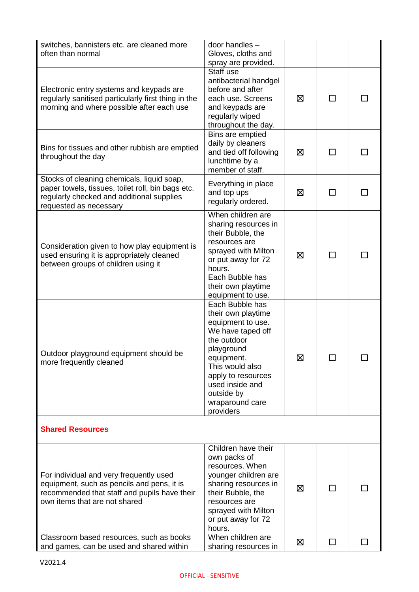| switches, bannisters etc. are cleaned more<br>often than normal                                                                                                        | door handles -<br>Gloves, cloths and<br>spray are provided.                                                                                                                                                                          |   |                             |        |
|------------------------------------------------------------------------------------------------------------------------------------------------------------------------|--------------------------------------------------------------------------------------------------------------------------------------------------------------------------------------------------------------------------------------|---|-----------------------------|--------|
| Electronic entry systems and keypads are<br>regularly sanitised particularly first thing in the<br>morning and where possible after each use                           | Staff use<br>antibacterial handgel<br>before and after<br>each use. Screens<br>and keypads are<br>regularly wiped<br>throughout the day.                                                                                             | ⊠ | ΙI                          |        |
| Bins for tissues and other rubbish are emptied<br>throughout the day                                                                                                   | Bins are emptied<br>daily by cleaners<br>and tied off following<br>lunchtime by a<br>member of staff.                                                                                                                                | ⊠ | ΙI                          |        |
| Stocks of cleaning chemicals, liquid soap,<br>paper towels, tissues, toilet roll, bin bags etc.<br>regularly checked and additional supplies<br>requested as necessary | Everything in place<br>and top ups<br>regularly ordered.                                                                                                                                                                             | ⊠ | П                           | $\Box$ |
| Consideration given to how play equipment is<br>used ensuring it is appropriately cleaned<br>between groups of children using it                                       | When children are<br>sharing resources in<br>their Bubble, the<br>resources are<br>sprayed with Milton<br>or put away for 72<br>hours.<br>Each Bubble has<br>their own playtime<br>equipment to use.                                 | ⊠ | П                           |        |
| Outdoor playground equipment should be<br>more frequently cleaned                                                                                                      | Each Bubble has<br>their own playtime<br>equipment to use.<br>We have taped off<br>the outdoor<br>playground<br>equipment.<br>This would also<br>apply to resources<br>used inside and<br>outside by<br>wraparound care<br>providers | ⊠ | $\mathcal{L}_{\mathcal{A}}$ |        |
| <b>Shared Resources</b>                                                                                                                                                |                                                                                                                                                                                                                                      |   |                             |        |
| For individual and very frequently used<br>equipment, such as pencils and pens, it is<br>recommended that staff and pupils have their<br>own items that are not shared | Children have their<br>own packs of<br>resources. When<br>younger children are<br>sharing resources in<br>their Bubble, the<br>resources are<br>sprayed with Milton<br>or put away for 72<br>hours.                                  | ⊠ | ⊓                           |        |
| Classroom based resources, such as books<br>and games, can be used and shared within                                                                                   | When children are<br>sharing resources in                                                                                                                                                                                            | ⊠ | $\Box$                      | П      |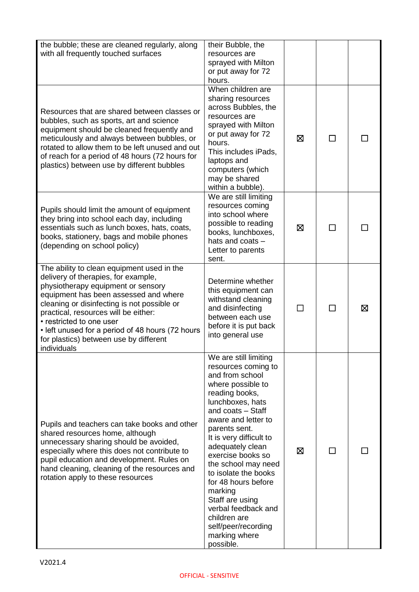| the bubble; these are cleaned regularly, along<br>with all frequently touched surfaces                                                                                                                                                                                                                                                                                                           | their Bubble, the<br>resources are<br>sprayed with Milton<br>or put away for 72<br>hours.                                                                                                                                                                                                                                                                                                                                                                   |              |   |
|--------------------------------------------------------------------------------------------------------------------------------------------------------------------------------------------------------------------------------------------------------------------------------------------------------------------------------------------------------------------------------------------------|-------------------------------------------------------------------------------------------------------------------------------------------------------------------------------------------------------------------------------------------------------------------------------------------------------------------------------------------------------------------------------------------------------------------------------------------------------------|--------------|---|
| Resources that are shared between classes or<br>bubbles, such as sports, art and science<br>equipment should be cleaned frequently and<br>meticulously and always between bubbles, or<br>rotated to allow them to be left unused and out<br>of reach for a period of 48 hours (72 hours for<br>plastics) between use by different bubbles                                                        | When children are<br>sharing resources<br>across Bubbles, the<br>resources are<br>sprayed with Milton<br>or put away for 72<br>hours.<br>This includes iPads,<br>laptops and<br>computers (which<br>may be shared<br>within a bubble).                                                                                                                                                                                                                      | ⊠            |   |
| Pupils should limit the amount of equipment<br>they bring into school each day, including<br>essentials such as lunch boxes, hats, coats,<br>books, stationery, bags and mobile phones<br>(depending on school policy)                                                                                                                                                                           | We are still limiting<br>resources coming<br>into school where<br>possible to reading<br>books, lunchboxes,<br>hats and coats -<br>Letter to parents<br>sent.                                                                                                                                                                                                                                                                                               | ⊠            |   |
| The ability to clean equipment used in the<br>delivery of therapies, for example,<br>physiotherapy equipment or sensory<br>equipment has been assessed and where<br>cleaning or disinfecting is not possible or<br>practical, resources will be either:<br>• restricted to one user<br>• left unused for a period of 48 hours (72 hours<br>for plastics) between use by different<br>individuals | Determine whether<br>this equipment can<br>withstand cleaning<br>and disinfecting<br>between each use<br>before it is put back<br>into general use                                                                                                                                                                                                                                                                                                          | $\mathsf{L}$ | ⊠ |
| Pupils and teachers can take books and other<br>shared resources home, although<br>unnecessary sharing should be avoided,<br>especially where this does not contribute to<br>pupil education and development. Rules on<br>hand cleaning, cleaning of the resources and<br>rotation apply to these resources                                                                                      | We are still limiting<br>resources coming to<br>and from school<br>where possible to<br>reading books,<br>lunchboxes, hats<br>and coats - Staff<br>aware and letter to<br>parents sent.<br>It is very difficult to<br>adequately clean<br>exercise books so<br>the school may need<br>to isolate the books<br>for 48 hours before<br>marking<br>Staff are using<br>verbal feedback and<br>children are<br>self/peer/recording<br>marking where<br>possible. | ⊠            |   |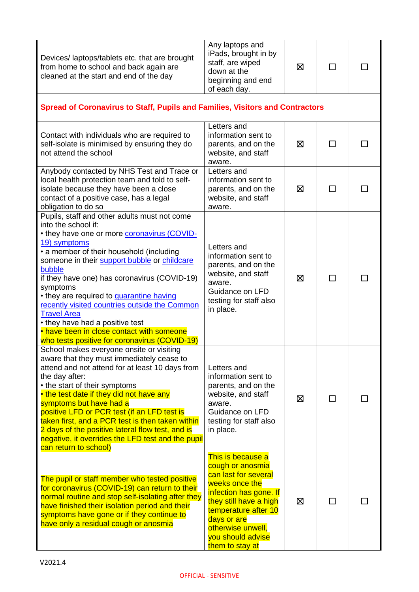| Devices/laptops/tablets etc. that are brought<br>from home to school and back again are<br>cleaned at the start and end of the day                                                                                                                                                                                                                                                                                                                                                                                                                                     | Any laptops and<br>iPads, brought in by<br>staff, are wiped<br>down at the<br>beginning and end<br>of each day.                                                                                                                         | ⊠           | ΙI     |  |
|------------------------------------------------------------------------------------------------------------------------------------------------------------------------------------------------------------------------------------------------------------------------------------------------------------------------------------------------------------------------------------------------------------------------------------------------------------------------------------------------------------------------------------------------------------------------|-----------------------------------------------------------------------------------------------------------------------------------------------------------------------------------------------------------------------------------------|-------------|--------|--|
| Spread of Coronavirus to Staff, Pupils and Families, Visitors and Contractors                                                                                                                                                                                                                                                                                                                                                                                                                                                                                          |                                                                                                                                                                                                                                         |             |        |  |
| Contact with individuals who are required to<br>self-isolate is minimised by ensuring they do<br>not attend the school                                                                                                                                                                                                                                                                                                                                                                                                                                                 | Letters and<br>information sent to<br>parents, and on the<br>website, and staff<br>aware.                                                                                                                                               | ⊠           | ΙI     |  |
| Anybody contacted by NHS Test and Trace or<br>local health protection team and told to self-<br>isolate because they have been a close<br>contact of a positive case, has a legal<br>obligation to do so                                                                                                                                                                                                                                                                                                                                                               | Letters and<br>information sent to<br>parents, and on the<br>website, and staff<br>aware.                                                                                                                                               | ⊠           |        |  |
| Pupils, staff and other adults must not come<br>into the school if:<br>• they have one or more <b>coronavirus (COVID-</b><br>19) symptoms<br>• a member of their household (including<br>someone in their support bubble or childcare<br>bubble<br>if they have one) has coronavirus (COVID-19)<br>symptoms<br>• they are required to <b>quarantine having</b><br>recently visited countries outside the Common<br><b>Travel Area</b><br>• they have had a positive test<br>• have been in close contact with someone<br>who tests positive for coronavirus (COVID-19) | Letters and<br>information sent to<br>parents, and on the<br>website, and staff<br>aware.<br>Guidance on LFD<br>testing for staff also<br>in place.                                                                                     | ⊠           | ΙI     |  |
| School makes everyone onsite or visiting<br>aware that they must immediately cease to<br>attend and not attend for at least 10 days from<br>the day after:<br>• the start of their symptoms<br>• the test date if they did not have any<br>symptoms but have had a<br>positive LFD or PCR test (if an LFD test is<br>taken first, and a PCR test is then taken within<br>2 days of the positive lateral flow test, and is<br>negative, it overrides the LFD test and the pupil<br>can return to school)                                                                | Letters and<br>information sent to<br>parents, and on the<br>website, and staff<br>aware.<br>Guidance on LFD<br>testing for staff also<br>in place.                                                                                     | ⊠           | $\Box$ |  |
| The pupil or staff member who tested positive<br>for coronavirus (COVID-19) can return to their<br>normal routine and stop self-isolating after they<br>have finished their isolation period and their<br>symptoms have gone or if they continue to<br>have only a residual cough or anosmia                                                                                                                                                                                                                                                                           | This is because a<br>cough or anosmia<br>can last for several<br>weeks once the<br>infection has gone. If<br>they still have a high<br>temperature after 10<br>days or are<br>otherwise unwell,<br>you should advise<br>them to stay at | $\boxtimes$ | ΙI     |  |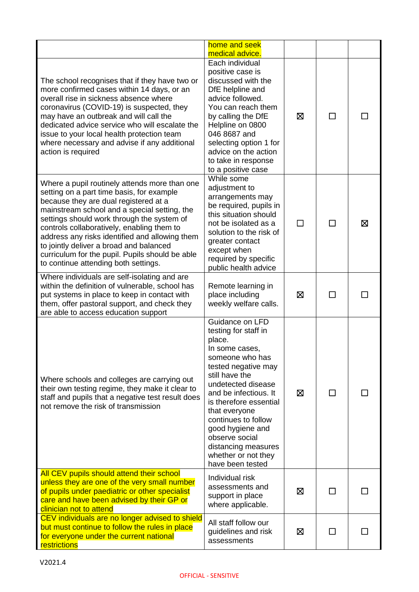|                                                                                                                                                                                                                                                                                                                                                                                                                                                                         | home and seek<br>medical advice.                                                                                                                                                                                                                                                                                                                         |   |                          |   |
|-------------------------------------------------------------------------------------------------------------------------------------------------------------------------------------------------------------------------------------------------------------------------------------------------------------------------------------------------------------------------------------------------------------------------------------------------------------------------|----------------------------------------------------------------------------------------------------------------------------------------------------------------------------------------------------------------------------------------------------------------------------------------------------------------------------------------------------------|---|--------------------------|---|
| The school recognises that if they have two or<br>more confirmed cases within 14 days, or an<br>overall rise in sickness absence where<br>coronavirus (COVID-19) is suspected, they<br>may have an outbreak and will call the<br>dedicated advice service who will escalate the<br>issue to your local health protection team<br>where necessary and advise if any additional<br>action is required                                                                     | Each individual<br>positive case is<br>discussed with the<br>DfE helpline and<br>advice followed.<br>You can reach them<br>by calling the DfE<br>Helpline on 0800<br>046 8687 and<br>selecting option 1 for<br>advice on the action<br>to take in response<br>to a positive case                                                                         | ⊠ | ΙI                       |   |
| Where a pupil routinely attends more than one<br>setting on a part time basis, for example<br>because they are dual registered at a<br>mainstream school and a special setting, the<br>settings should work through the system of<br>controls collaboratively, enabling them to<br>address any risks identified and allowing them<br>to jointly deliver a broad and balanced<br>curriculum for the pupil. Pupils should be able<br>to continue attending both settings. | While some<br>adjustment to<br>arrangements may<br>be required, pupils in<br>this situation should<br>not be isolated as a<br>solution to the risk of<br>greater contact<br>except when<br>required by specific<br>public health advice                                                                                                                  | П | П                        | ⊠ |
| Where individuals are self-isolating and are<br>within the definition of vulnerable, school has<br>put systems in place to keep in contact with<br>them, offer pastoral support, and check they<br>are able to access education support                                                                                                                                                                                                                                 | Remote learning in<br>place including<br>weekly welfare calls.                                                                                                                                                                                                                                                                                           | ⊠ | $\overline{\phantom{a}}$ |   |
| Where schools and colleges are carrying out<br>their own testing regime, they make it clear to<br>staff and pupils that a negative test result does<br>not remove the risk of transmission                                                                                                                                                                                                                                                                              | Guidance on LFD<br>testing for staff in<br>place.<br>In some cases,<br>someone who has<br>tested negative may<br>still have the<br>undetected disease<br>and be infectious. It<br>is therefore essential<br>that everyone<br>continues to follow<br>good hygiene and<br>observe social<br>distancing measures<br>whether or not they<br>have been tested | ⊠ | ΙI                       |   |
| All CEV pupils should attend their school<br>unless they are one of the very small number<br>of pupils under paediatric or other specialist<br>care and have been advised by their GP or<br>clinician not to attend                                                                                                                                                                                                                                                     | Individual risk<br>assessments and<br>support in place<br>where applicable.                                                                                                                                                                                                                                                                              | ⊠ |                          |   |
| CEV individuals are no longer advised to shield<br>but must continue to follow the rules in place<br>for everyone under the current national<br>restrictions                                                                                                                                                                                                                                                                                                            | All staff follow our<br>guidelines and risk<br>assessments                                                                                                                                                                                                                                                                                               | ⊠ | ΙI                       |   |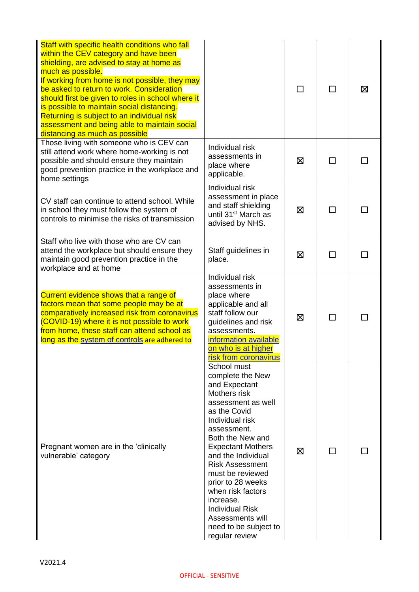| Staff with specific health conditions who fall                                                                                                                                                                                                                                                                                                                                                                                            |                                                                                                                                                                                                                                                                                                                                                                                                              |   |    |   |
|-------------------------------------------------------------------------------------------------------------------------------------------------------------------------------------------------------------------------------------------------------------------------------------------------------------------------------------------------------------------------------------------------------------------------------------------|--------------------------------------------------------------------------------------------------------------------------------------------------------------------------------------------------------------------------------------------------------------------------------------------------------------------------------------------------------------------------------------------------------------|---|----|---|
| within the CEV category and have been<br>shielding, are advised to stay at home as<br>much as possible.<br>If working from home is not possible, they may<br>be asked to return to work. Consideration<br>should first be given to roles in school where it<br>is possible to maintain social distancing.<br>Returning is subject to an individual risk<br>assessment and being able to maintain social<br>distancing as much as possible |                                                                                                                                                                                                                                                                                                                                                                                                              |   |    | ⊠ |
| Those living with someone who is CEV can<br>still attend work where home-working is not<br>possible and should ensure they maintain<br>good prevention practice in the workplace and<br>home settings                                                                                                                                                                                                                                     | Individual risk<br>assessments in<br>place where<br>applicable.                                                                                                                                                                                                                                                                                                                                              | ⊠ |    |   |
| CV staff can continue to attend school. While<br>in school they must follow the system of<br>controls to minimise the risks of transmission                                                                                                                                                                                                                                                                                               | Individual risk<br>assessment in place<br>and staff shielding<br>until 31 <sup>st</sup> March as<br>advised by NHS.                                                                                                                                                                                                                                                                                          | ⊠ | П  |   |
| Staff who live with those who are CV can<br>attend the workplace but should ensure they<br>maintain good prevention practice in the<br>workplace and at home                                                                                                                                                                                                                                                                              | Staff guidelines in<br>place.                                                                                                                                                                                                                                                                                                                                                                                | ⊠ | ΙI |   |
| Current evidence shows that a range of<br>factors mean that some people may be at<br>comparatively increased risk from coronavirus<br>(COVID-19) where it is not possible to work<br>from home, these staff can attend school as<br>long as the system of controls are adhered to                                                                                                                                                         | Individual risk<br>assessments in<br>place where<br>applicable and all<br>staff follow our<br>guidelines and risk<br>assessments.<br>information available<br>on who is at higher<br>risk from coronavirus                                                                                                                                                                                                   | 区 |    |   |
| Pregnant women are in the 'clinically<br>vulnerable' category                                                                                                                                                                                                                                                                                                                                                                             | School must<br>complete the New<br>and Expectant<br>Mothers risk<br>assessment as well<br>as the Covid<br>Individual risk<br>assessment.<br>Both the New and<br><b>Expectant Mothers</b><br>and the Individual<br><b>Risk Assessment</b><br>must be reviewed<br>prior to 28 weeks<br>when risk factors<br>increase.<br><b>Individual Risk</b><br>Assessments will<br>need to be subject to<br>regular review | ⊠ |    |   |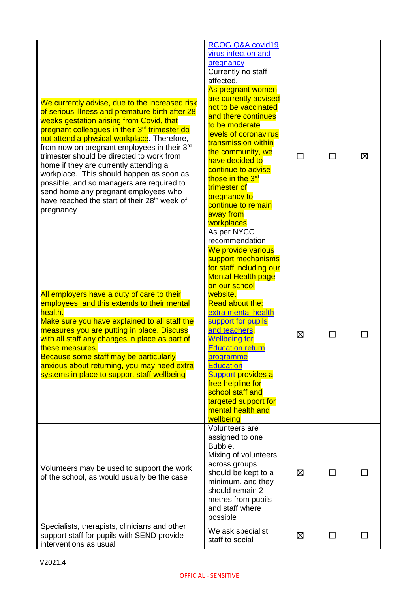|                                                                                                                                                                                                                                                                                                                                                                                                                                                                                                                                                                                                                       | RCOG Q&A covid19                                                                                                                                                                                                                                                                                                                                                                                                                          |   |   |   |
|-----------------------------------------------------------------------------------------------------------------------------------------------------------------------------------------------------------------------------------------------------------------------------------------------------------------------------------------------------------------------------------------------------------------------------------------------------------------------------------------------------------------------------------------------------------------------------------------------------------------------|-------------------------------------------------------------------------------------------------------------------------------------------------------------------------------------------------------------------------------------------------------------------------------------------------------------------------------------------------------------------------------------------------------------------------------------------|---|---|---|
|                                                                                                                                                                                                                                                                                                                                                                                                                                                                                                                                                                                                                       | virus infection and<br>pregnancy                                                                                                                                                                                                                                                                                                                                                                                                          |   |   |   |
|                                                                                                                                                                                                                                                                                                                                                                                                                                                                                                                                                                                                                       | Currently no staff<br>affected.                                                                                                                                                                                                                                                                                                                                                                                                           |   |   |   |
| We currently advise, due to the increased risk<br>of serious illness and premature birth after 28<br>weeks gestation arising from Covid, that<br>pregnant colleagues in their 3 <sup>rd</sup> trimester do<br>not attend a physical workplace. Therefore,<br>from now on pregnant employees in their 3 <sup>rd</sup><br>trimester should be directed to work from<br>home if they are currently attending a<br>workplace. This should happen as soon as<br>possible, and so managers are required to<br>send home any pregnant employees who<br>have reached the start of their 28 <sup>th</sup> week of<br>pregnancy | As pregnant women<br>are currently advised<br>not to be vaccinated<br>and there continues<br>to be moderate<br>levels of coronavirus<br>transmission within<br>the community, we<br>have decided to<br>continue to advise<br>those in the 3 <sup>rd</sup><br>trimester of<br>pregnancy to<br>continue to remain<br>away from<br>workplaces<br>As per NYCC<br>recommendation                                                               |   | П | ⊠ |
| All employers have a duty of care to their<br>employees, and this extends to their mental<br>health.<br>Make sure you have explained to all staff the<br>measures you are putting in place. Discuss<br>with all staff any changes in place as part of<br>these measures.<br>Because some staff may be particularly<br>anxious about returning, you may need extra<br>systems in place to support staff wellbeing                                                                                                                                                                                                      | We provide various<br>support mechanisms<br>for staff including our<br><b>Mental Health page</b><br>on our school<br>website.<br><b>Read about the:</b><br>extra mental health<br>support for pupils<br>and teachers,<br><b>Wellbeing for</b><br><b>Education return</b><br><b>programme</b><br><b>Education</b><br>Support provides a<br>free helpline for<br>school staff and<br>targeted support for<br>mental health and<br>wellbeing | ⊠ |   |   |
| Volunteers may be used to support the work<br>of the school, as would usually be the case                                                                                                                                                                                                                                                                                                                                                                                                                                                                                                                             | Volunteers are<br>assigned to one<br>Bubble.<br>Mixing of volunteers<br>across groups<br>should be kept to a<br>minimum, and they<br>should remain 2<br>metres from pupils<br>and staff where<br>possible                                                                                                                                                                                                                                 | ⊠ | П |   |
| Specialists, therapists, clinicians and other<br>support staff for pupils with SEND provide<br>interventions as usual                                                                                                                                                                                                                                                                                                                                                                                                                                                                                                 | We ask specialist<br>staff to social                                                                                                                                                                                                                                                                                                                                                                                                      | 区 | П |   |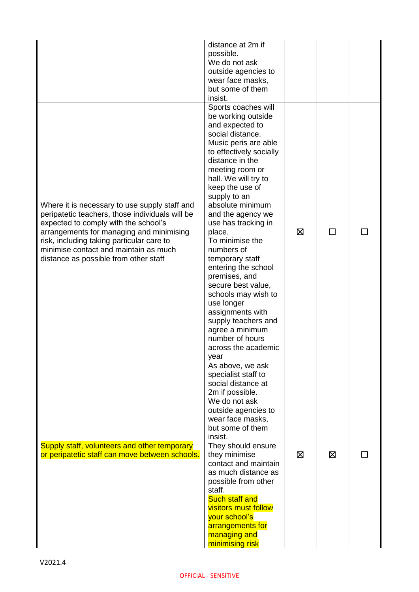|                                                                                                                                                                                                                                                                                                                     | distance at 2m if<br>possible.<br>We do not ask<br>outside agencies to<br>wear face masks,<br>but some of them<br>insist.                                                                                                                                                                                                                                                                                                                                                                                                                                                             |   |        |  |
|---------------------------------------------------------------------------------------------------------------------------------------------------------------------------------------------------------------------------------------------------------------------------------------------------------------------|---------------------------------------------------------------------------------------------------------------------------------------------------------------------------------------------------------------------------------------------------------------------------------------------------------------------------------------------------------------------------------------------------------------------------------------------------------------------------------------------------------------------------------------------------------------------------------------|---|--------|--|
| Where it is necessary to use supply staff and<br>peripatetic teachers, those individuals will be<br>expected to comply with the school's<br>arrangements for managing and minimising<br>risk, including taking particular care to<br>minimise contact and maintain as much<br>distance as possible from other staff | Sports coaches will<br>be working outside<br>and expected to<br>social distance.<br>Music peris are able<br>to effectively socially<br>distance in the<br>meeting room or<br>hall. We will try to<br>keep the use of<br>supply to an<br>absolute minimum<br>and the agency we<br>use has tracking in<br>place.<br>To minimise the<br>numbers of<br>temporary staff<br>entering the school<br>premises, and<br>secure best value,<br>schools may wish to<br>use longer<br>assignments with<br>supply teachers and<br>agree a minimum<br>number of hours<br>across the academic<br>year | ⊠ | $\Box$ |  |
| Supply staff, volunteers and other temporary<br>or peripatetic staff can move between schools.                                                                                                                                                                                                                      | As above, we ask<br>specialist staff to<br>social distance at<br>2m if possible.<br>We do not ask<br>outside agencies to<br>wear face masks,<br>but some of them<br>insist.<br>They should ensure<br>they minimise<br>contact and maintain<br>as much distance as<br>possible from other<br>staff.<br><b>Such staff and</b><br><b>visitors must follow</b><br>your school's<br>arrangements for<br>managing and<br>minimising risk                                                                                                                                                    | ⊠ | ⊠      |  |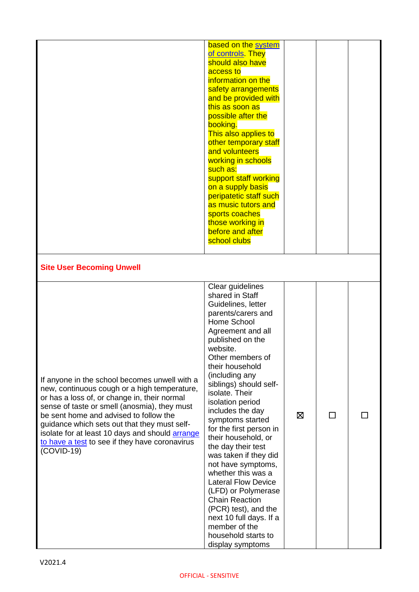|                                                                                                                                                                                                                                                                                                                                                                                                                     | based on the system<br>of controls. They<br>should also have<br>access to<br>information on the<br>safety arrangements<br>and be provided with<br>this as soon as<br>possible after the<br>booking.<br>This also applies to<br>other temporary staff<br>and volunteers<br>working in schools<br>such as:<br>support staff working<br>on a supply basis<br>peripatetic staff such<br>as music tutors and<br>sports coaches<br>those working in<br>before and after<br>school clubs                                                                                                                                                                              |   |              |  |
|---------------------------------------------------------------------------------------------------------------------------------------------------------------------------------------------------------------------------------------------------------------------------------------------------------------------------------------------------------------------------------------------------------------------|----------------------------------------------------------------------------------------------------------------------------------------------------------------------------------------------------------------------------------------------------------------------------------------------------------------------------------------------------------------------------------------------------------------------------------------------------------------------------------------------------------------------------------------------------------------------------------------------------------------------------------------------------------------|---|--------------|--|
| <b>Site User Becoming Unwell</b>                                                                                                                                                                                                                                                                                                                                                                                    |                                                                                                                                                                                                                                                                                                                                                                                                                                                                                                                                                                                                                                                                |   |              |  |
| If anyone in the school becomes unwell with a<br>new, continuous cough or a high temperature,<br>or has a loss of, or change in, their normal<br>sense of taste or smell (anosmia), they must<br>be sent home and advised to follow the<br>guidance which sets out that they must self-<br>isolate for at least 10 days and should <b>arrange</b><br>to have a test to see if they have coronavirus<br>$(COVID-19)$ | Clear guidelines<br>shared in Staff<br>Guidelines, letter<br>parents/carers and<br>Home School<br>Agreement and all<br>published on the<br>website.<br>Other members of<br>their household<br>(including any<br>siblings) should self-<br>isolate. Their<br>isolation period<br>includes the day<br>symptoms started<br>for the first person in<br>their household, or<br>the day their test<br>was taken if they did<br>not have symptoms,<br>whether this was a<br><b>Lateral Flow Device</b><br>(LFD) or Polymerase<br><b>Chain Reaction</b><br>(PCR) test), and the<br>next 10 full days. If a<br>member of the<br>household starts to<br>display symptoms | ⊠ | $\mathbf{I}$ |  |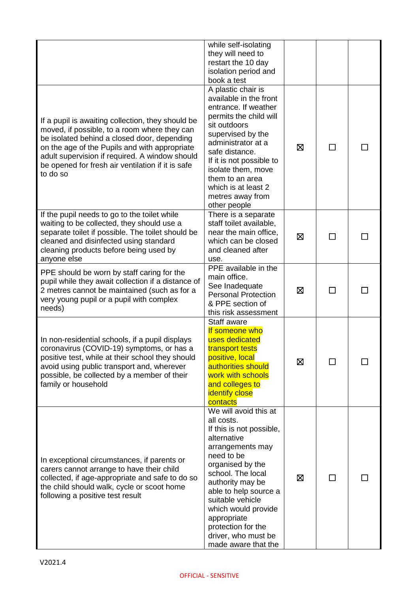|                                                                                                                                                                                                                                                                                                                      | while self-isolating                                                                                                                                                                                                                                                                                                                 |   |        |  |
|----------------------------------------------------------------------------------------------------------------------------------------------------------------------------------------------------------------------------------------------------------------------------------------------------------------------|--------------------------------------------------------------------------------------------------------------------------------------------------------------------------------------------------------------------------------------------------------------------------------------------------------------------------------------|---|--------|--|
|                                                                                                                                                                                                                                                                                                                      | they will need to<br>restart the 10 day                                                                                                                                                                                                                                                                                              |   |        |  |
|                                                                                                                                                                                                                                                                                                                      | isolation period and                                                                                                                                                                                                                                                                                                                 |   |        |  |
|                                                                                                                                                                                                                                                                                                                      | book a test<br>A plastic chair is                                                                                                                                                                                                                                                                                                    |   |        |  |
| If a pupil is awaiting collection, they should be<br>moved, if possible, to a room where they can<br>be isolated behind a closed door, depending<br>on the age of the Pupils and with appropriate<br>adult supervision if required. A window should<br>be opened for fresh air ventilation if it is safe<br>to do so | available in the front<br>entrance. If weather<br>permits the child will<br>sit outdoors<br>supervised by the<br>administrator at a<br>safe distance.<br>If it is not possible to<br>isolate them, move<br>them to an area<br>which is at least 2<br>metres away from<br>other people                                                | ⊠ | П      |  |
| If the pupil needs to go to the toilet while<br>waiting to be collected, they should use a<br>separate toilet if possible. The toilet should be<br>cleaned and disinfected using standard<br>cleaning products before being used by<br>anyone else                                                                   | There is a separate<br>staff toilet available,<br>near the main office,<br>which can be closed<br>and cleaned after<br>use.                                                                                                                                                                                                          | ⊠ |        |  |
| PPE should be worn by staff caring for the<br>pupil while they await collection if a distance of<br>2 metres cannot be maintained (such as for a<br>very young pupil or a pupil with complex<br>needs)                                                                                                               | PPE available in the<br>main office.<br>See Inadequate<br><b>Personal Protection</b><br>& PPE section of<br>this risk assessment                                                                                                                                                                                                     | ⊠ | $\Box$ |  |
| In non-residential schools, if a pupil displays<br>coronavirus (COVID-19) symptoms, or has a<br>positive test, while at their school they should<br>avoid using public transport and, wherever<br>possible, be collected by a member of their<br>family or household                                                 | Staff aware<br>If someone who<br>uses dedicated<br>transport tests<br>positive, local<br>authorities should<br>work with schools<br>and colleges to<br><b>identify close</b><br>contacts                                                                                                                                             | ⊠ |        |  |
| In exceptional circumstances, if parents or<br>carers cannot arrange to have their child<br>collected, if age-appropriate and safe to do so<br>the child should walk, cycle or scoot home<br>following a positive test result                                                                                        | We will avoid this at<br>all costs.<br>If this is not possible,<br>alternative<br>arrangements may<br>need to be<br>organised by the<br>school. The local<br>authority may be<br>able to help source a<br>suitable vehicle<br>which would provide<br>appropriate<br>protection for the<br>driver, who must be<br>made aware that the | ⊠ |        |  |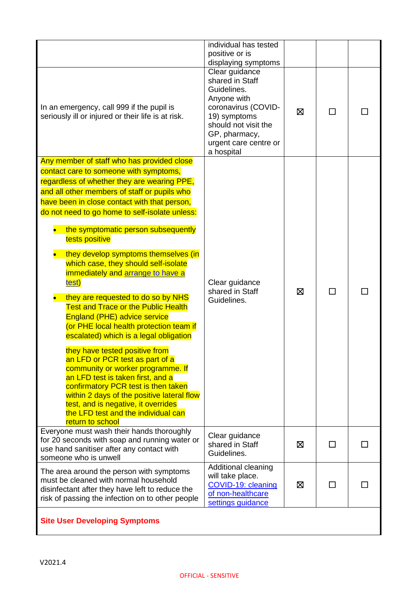|                                                                                                                                                                                                                                                                                                                                                                                                                                                                                                                                                                                                                                                                                                                                                                                                                                                                                                                                                                                                                                    | individual has tested<br>positive or is<br>displaying symptoms                                                                                                                         |   |        |  |
|------------------------------------------------------------------------------------------------------------------------------------------------------------------------------------------------------------------------------------------------------------------------------------------------------------------------------------------------------------------------------------------------------------------------------------------------------------------------------------------------------------------------------------------------------------------------------------------------------------------------------------------------------------------------------------------------------------------------------------------------------------------------------------------------------------------------------------------------------------------------------------------------------------------------------------------------------------------------------------------------------------------------------------|----------------------------------------------------------------------------------------------------------------------------------------------------------------------------------------|---|--------|--|
| In an emergency, call 999 if the pupil is<br>seriously ill or injured or their life is at risk.                                                                                                                                                                                                                                                                                                                                                                                                                                                                                                                                                                                                                                                                                                                                                                                                                                                                                                                                    | Clear guidance<br>shared in Staff<br>Guidelines.<br>Anyone with<br>coronavirus (COVID-<br>19) symptoms<br>should not visit the<br>GP, pharmacy,<br>urgent care centre or<br>a hospital | ⊠ | ΙI     |  |
| Any member of staff who has provided close<br>contact care to someone with symptoms,<br>regardless of whether they are wearing PPE,<br>and all other members of staff or pupils who<br>have been in close contact with that person,<br>do not need to go home to self-isolate unless:<br>the symptomatic person subsequently<br>tests positive<br>they develop symptoms themselves (in<br>which case, they should self-isolate<br>immediately and arrange to have a<br>test)<br>they are requested to do so by NHS<br><b>Test and Trace or the Public Health</b><br><b>England (PHE) advice service</b><br>(or PHE local health protection team if<br>escalated) which is a legal obligation<br>they have tested positive from<br>an LFD or PCR test as part of a<br>community or worker programme. If<br>an LFD test is taken first, and a<br>confirmatory PCR test is then taken<br>within 2 days of the positive lateral flow<br>test, and is negative, it overrides<br>the LFD test and the individual can<br>return to school | Clear guidance<br>shared in Staff<br>Guidelines.                                                                                                                                       | ⊠ |        |  |
| Everyone must wash their hands thoroughly<br>for 20 seconds with soap and running water or<br>use hand sanitiser after any contact with<br>someone who is unwell                                                                                                                                                                                                                                                                                                                                                                                                                                                                                                                                                                                                                                                                                                                                                                                                                                                                   | Clear guidance<br>shared in Staff<br>Guidelines.                                                                                                                                       | ⊠ | $\Box$ |  |
| The area around the person with symptoms<br>must be cleaned with normal household<br>disinfectant after they have left to reduce the<br>risk of passing the infection on to other people                                                                                                                                                                                                                                                                                                                                                                                                                                                                                                                                                                                                                                                                                                                                                                                                                                           | Additional cleaning<br>will take place.<br>COVID-19: cleaning<br>of non-healthcare<br>settings guidance                                                                                | ⊠ | $\Box$ |  |
| <b>Site User Developing Symptoms</b>                                                                                                                                                                                                                                                                                                                                                                                                                                                                                                                                                                                                                                                                                                                                                                                                                                                                                                                                                                                               |                                                                                                                                                                                        |   |        |  |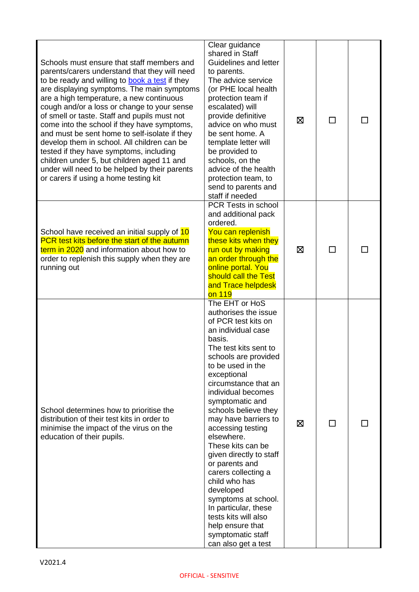| Schools must ensure that staff members and<br>parents/carers understand that they will need<br>to be ready and willing to book a test if they<br>are displaying symptoms. The main symptoms<br>are a high temperature, a new continuous<br>cough and/or a loss or change to your sense<br>of smell or taste. Staff and pupils must not<br>come into the school if they have symptoms,<br>and must be sent home to self-isolate if they<br>develop them in school. All children can be<br>tested if they have symptoms, including<br>children under 5, but children aged 11 and<br>under will need to be helped by their parents<br>or carers if using a home testing kit | Clear guidance<br>shared in Staff<br>Guidelines and letter<br>to parents.<br>The advice service<br>(or PHE local health<br>protection team if<br>escalated) will<br>provide definitive<br>advice on who must<br>be sent home. A<br>template letter will<br>be provided to<br>schools, on the<br>advice of the health<br>protection team, to<br>send to parents and<br>staff if needed                                                                                                                                                                                                                | ⊠ | ΙI |  |
|--------------------------------------------------------------------------------------------------------------------------------------------------------------------------------------------------------------------------------------------------------------------------------------------------------------------------------------------------------------------------------------------------------------------------------------------------------------------------------------------------------------------------------------------------------------------------------------------------------------------------------------------------------------------------|------------------------------------------------------------------------------------------------------------------------------------------------------------------------------------------------------------------------------------------------------------------------------------------------------------------------------------------------------------------------------------------------------------------------------------------------------------------------------------------------------------------------------------------------------------------------------------------------------|---|----|--|
| School have received an initial supply of 10<br>PCR test kits before the start of the autumn<br>term in 2020 and information about how to<br>order to replenish this supply when they are<br>running out                                                                                                                                                                                                                                                                                                                                                                                                                                                                 | PCR Tests in school<br>and additional pack<br>ordered.<br>You can replenish<br>these kits when they<br>run out by making<br>an order through the<br>online portal. You<br>should call the Test<br>and Trace helpdesk<br>on 119                                                                                                                                                                                                                                                                                                                                                                       | 区 |    |  |
| School determines how to prioritise the<br>distribution of their test kits in order to<br>minimise the impact of the virus on the<br>education of their pupils.                                                                                                                                                                                                                                                                                                                                                                                                                                                                                                          | The EHT or HoS<br>authorises the issue<br>of PCR test kits on<br>an individual case<br>basis.<br>The test kits sent to<br>schools are provided<br>to be used in the<br>exceptional<br>circumstance that an<br>individual becomes<br>symptomatic and<br>schools believe they<br>may have barriers to<br>accessing testing<br>elsewhere.<br>These kits can be<br>given directly to staff<br>or parents and<br>carers collecting a<br>child who has<br>developed<br>symptoms at school.<br>In particular, these<br>tests kits will also<br>help ensure that<br>symptomatic staff<br>can also get a test | ⊠ |    |  |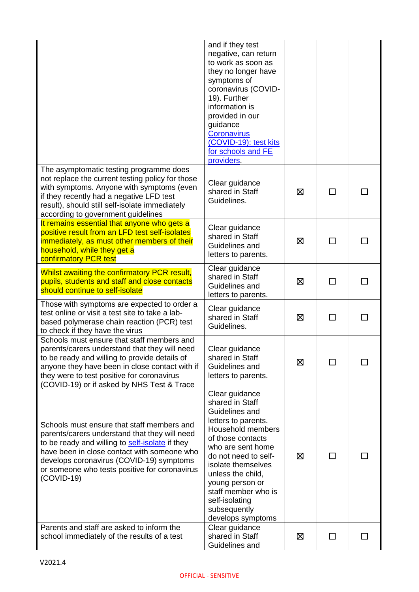|                                                                                                                                                                                                                                                                                                            | and if they test<br>negative, can return<br>to work as soon as<br>they no longer have<br>symptoms of<br>coronavirus (COVID-<br>19). Further<br>information is<br>provided in our<br>guidance<br><b>Coronavirus</b><br>(COVID-19): test kits<br>for schools and FE<br>providers.                               |   |    |  |
|------------------------------------------------------------------------------------------------------------------------------------------------------------------------------------------------------------------------------------------------------------------------------------------------------------|---------------------------------------------------------------------------------------------------------------------------------------------------------------------------------------------------------------------------------------------------------------------------------------------------------------|---|----|--|
| The asymptomatic testing programme does<br>not replace the current testing policy for those<br>with symptoms. Anyone with symptoms (even<br>if they recently had a negative LFD test<br>result), should still self-isolate immediately<br>according to government guidelines                               | Clear guidance<br>shared in Staff<br>Guidelines.                                                                                                                                                                                                                                                              | ⊠ | ΙI |  |
| It remains essential that anyone who gets a<br>positive result from an LFD test self-isolates<br>immediately, as must other members of their<br>household, while they get a<br>confirmatory PCR test                                                                                                       | Clear guidance<br>shared in Staff<br>Guidelines and<br>letters to parents.                                                                                                                                                                                                                                    | 区 |    |  |
| Whilst awaiting the confirmatory PCR result,<br>pupils, students and staff and close contacts<br>should continue to self-isolate                                                                                                                                                                           | Clear guidance<br>shared in Staff<br>Guidelines and<br>letters to parents.                                                                                                                                                                                                                                    | ⊠ | П  |  |
| Those with symptoms are expected to order a<br>test online or visit a test site to take a lab-<br>based polymerase chain reaction (PCR) test<br>to check if they have the virus                                                                                                                            | Clear guidance<br>shared in Staff<br>Guidelines.                                                                                                                                                                                                                                                              | ⊠ |    |  |
| Schools must ensure that staff members and<br>parents/carers understand that they will need<br>to be ready and willing to provide details of<br>anyone they have been in close contact with if<br>they were to test positive for coronavirus<br>(COVID-19) or if asked by NHS Test & Trace                 | Clear guidance<br>shared in Staff<br>Guidelines and<br>letters to parents.                                                                                                                                                                                                                                    | 区 | ΙI |  |
| Schools must ensure that staff members and<br>parents/carers understand that they will need<br>to be ready and willing to self-isolate if they<br>have been in close contact with someone who<br>develops coronavirus (COVID-19) symptoms<br>or someone who tests positive for coronavirus<br>$(COVID-19)$ | Clear guidance<br>shared in Staff<br>Guidelines and<br>letters to parents.<br>Household members<br>of those contacts<br>who are sent home<br>do not need to self-<br>isolate themselves<br>unless the child,<br>young person or<br>staff member who is<br>self-isolating<br>subsequently<br>develops symptoms | ⊠ | ┌  |  |
| Parents and staff are asked to inform the<br>school immediately of the results of a test                                                                                                                                                                                                                   | Clear guidance<br>shared in Staff<br>Guidelines and                                                                                                                                                                                                                                                           | ⊠ |    |  |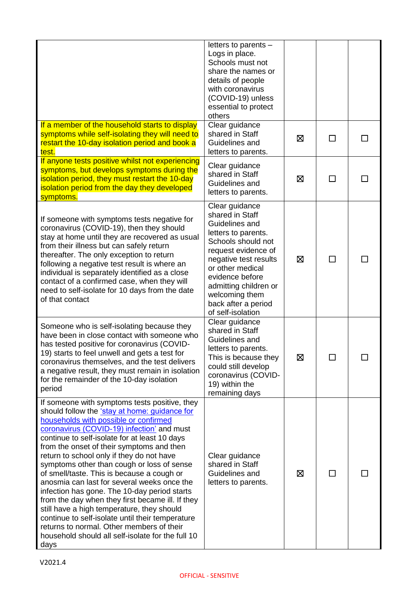|                                                                                                                                                                                                                                                                                                                                                                                                                                                                                                                                                                                                                                                                                                                                                                                             | letters to parents -<br>Logs in place.<br>Schools must not<br>share the names or<br>details of people<br>with coronavirus<br>(COVID-19) unless<br>essential to protect<br>others                                                                                               |   |        |  |
|---------------------------------------------------------------------------------------------------------------------------------------------------------------------------------------------------------------------------------------------------------------------------------------------------------------------------------------------------------------------------------------------------------------------------------------------------------------------------------------------------------------------------------------------------------------------------------------------------------------------------------------------------------------------------------------------------------------------------------------------------------------------------------------------|--------------------------------------------------------------------------------------------------------------------------------------------------------------------------------------------------------------------------------------------------------------------------------|---|--------|--|
| If a member of the household starts to display<br>symptoms while self-isolating they will need to<br>restart the 10-day isolation period and book a<br>test.                                                                                                                                                                                                                                                                                                                                                                                                                                                                                                                                                                                                                                | Clear guidance<br>shared in Staff<br>Guidelines and<br>letters to parents.                                                                                                                                                                                                     | ⊠ | П      |  |
| If anyone tests positive whilst not experiencing<br>symptoms, but develops symptoms during the<br>isolation period, they must restart the 10-day<br>isolation period from the day they developed<br>symptoms.                                                                                                                                                                                                                                                                                                                                                                                                                                                                                                                                                                               | Clear guidance<br>shared in Staff<br>Guidelines and<br>letters to parents.                                                                                                                                                                                                     | ⊠ |        |  |
| If someone with symptoms tests negative for<br>coronavirus (COVID-19), then they should<br>stay at home until they are recovered as usual<br>from their illness but can safely return<br>thereafter. The only exception to return<br>following a negative test result is where an<br>individual is separately identified as a close<br>contact of a confirmed case, when they will<br>need to self-isolate for 10 days from the date<br>of that contact                                                                                                                                                                                                                                                                                                                                     | Clear guidance<br>shared in Staff<br>Guidelines and<br>letters to parents.<br>Schools should not<br>request evidence of<br>negative test results<br>or other medical<br>evidence before<br>admitting children or<br>welcoming them<br>back after a period<br>of self-isolation | ⊠ | $\Box$ |  |
| Someone who is self-isolating because they<br>have been in close contact with someone who<br>has tested positive for coronavirus (COVID-<br>19) starts to feel unwell and gets a test for<br>coronavirus themselves, and the test delivers<br>a negative result, they must remain in isolation<br>for the remainder of the 10-day isolation<br>period                                                                                                                                                                                                                                                                                                                                                                                                                                       | Clear guidance<br>shared in Staff<br>Guidelines and<br>letters to parents.<br>This is because they<br>could still develop<br>coronavirus (COVID-<br>19) within the<br>remaining days                                                                                           | ⊠ |        |  |
| If someone with symptoms tests positive, they<br>should follow the 'stay at home: guidance for<br>households with possible or confirmed<br>coronavirus (COVID-19) infection' and must<br>continue to self-isolate for at least 10 days<br>from the onset of their symptoms and then<br>return to school only if they do not have<br>symptoms other than cough or loss of sense<br>of smell/taste. This is because a cough or<br>anosmia can last for several weeks once the<br>infection has gone. The 10-day period starts<br>from the day when they first became ill. If they<br>still have a high temperature, they should<br>continue to self-isolate until their temperature<br>returns to normal. Other members of their<br>household should all self-isolate for the full 10<br>days | Clear guidance<br>shared in Staff<br>Guidelines and<br>letters to parents.                                                                                                                                                                                                     | ⊠ |        |  |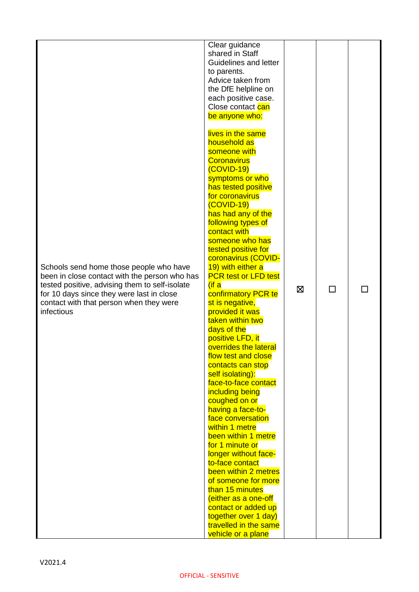| Schools send home those people who have<br>been in close contact with the person who has<br>tested positive, advising them to self-isolate<br>for 10 days since they were last in close<br>contact with that person when they were<br>infectious | Clear guidance<br>shared in Staff<br>Guidelines and letter<br>to parents.<br>Advice taken from<br>the DfE helpline on<br>each positive case.<br>Close contact can<br>be anyone who:<br>lives in the same<br>household as<br>someone with<br><b>Coronavirus</b><br>(COVID-19)<br>symptoms or who<br>has tested positive<br>for coronavirus<br>$(COVID-19)$<br>has had any of the<br>following types of<br>contact with<br>someone who has<br>tested positive for<br>coronavirus (COVID-<br>19) with either a<br><b>PCR test or LFD test</b><br>$($ if a<br>confirmatory PCR te<br>st is negative,<br>provided it was<br>taken within two<br>days of the<br>positive LFD, it<br>overrides the lateral<br>flow test and close<br>contacts can stop<br>self isolating):<br>face-to-face contact<br>including being<br>coughed on or<br>having a face-to-<br>face conversation<br>within 1 metre<br>been within 1 metre<br>for 1 minute or<br>longer without face-<br>to-face contact<br>been within 2 metres<br>of someone for more<br>than 15 minutes<br>(either as a one-off<br>contact or added up | ⊠ | □ |  |
|--------------------------------------------------------------------------------------------------------------------------------------------------------------------------------------------------------------------------------------------------|---------------------------------------------------------------------------------------------------------------------------------------------------------------------------------------------------------------------------------------------------------------------------------------------------------------------------------------------------------------------------------------------------------------------------------------------------------------------------------------------------------------------------------------------------------------------------------------------------------------------------------------------------------------------------------------------------------------------------------------------------------------------------------------------------------------------------------------------------------------------------------------------------------------------------------------------------------------------------------------------------------------------------------------------------------------------------------------------------|---|---|--|
|                                                                                                                                                                                                                                                  | together over 1 day)<br>travelled in the same<br>vehicle or a plane                                                                                                                                                                                                                                                                                                                                                                                                                                                                                                                                                                                                                                                                                                                                                                                                                                                                                                                                                                                                                               |   |   |  |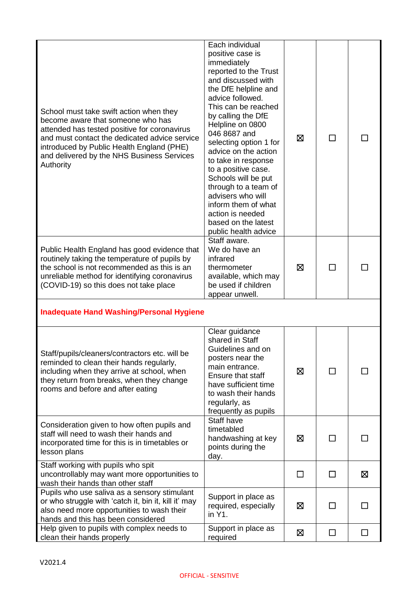| School must take swift action when they<br>become aware that someone who has<br>attended has tested positive for coronavirus<br>and must contact the dedicated advice service<br>introduced by Public Health England (PHE)<br>and delivered by the NHS Business Services<br>Authority | Each individual<br>positive case is<br>immediately<br>reported to the Trust<br>and discussed with<br>the DfE helpline and<br>advice followed.<br>This can be reached<br>by calling the DfE<br>Helpline on 0800<br>046 8687 and<br>selecting option 1 for<br>advice on the action<br>to take in response<br>to a positive case.<br>Schools will be put<br>through to a team of<br>advisers who will<br>inform them of what<br>action is needed<br>based on the latest<br>public health advice | ⊠ | ΙI           |              |
|---------------------------------------------------------------------------------------------------------------------------------------------------------------------------------------------------------------------------------------------------------------------------------------|----------------------------------------------------------------------------------------------------------------------------------------------------------------------------------------------------------------------------------------------------------------------------------------------------------------------------------------------------------------------------------------------------------------------------------------------------------------------------------------------|---|--------------|--------------|
| Public Health England has good evidence that<br>routinely taking the temperature of pupils by<br>the school is not recommended as this is an<br>unreliable method for identifying coronavirus<br>(COVID-19) so this does not take place                                               | Staff aware.<br>We do have an<br>infrared<br>thermometer<br>available, which may<br>be used if children<br>appear unwell.                                                                                                                                                                                                                                                                                                                                                                    | ⊠ | П            |              |
| <b>Inadequate Hand Washing/Personal Hygiene</b>                                                                                                                                                                                                                                       |                                                                                                                                                                                                                                                                                                                                                                                                                                                                                              |   |              |              |
| Staff/pupils/cleaners/contractors etc. will be<br>reminded to clean their hands regularly,<br>including when they arrive at school, when<br>they return from breaks, when they change<br>rooms and before and after eating                                                            | Clear guidance<br>shared in Staff<br>Guidelines and on<br>posters near the<br>main entrance.<br>Ensure that staff<br>have sufficient time<br>to wash their hands<br>regularly, as<br>frequently as pupils                                                                                                                                                                                                                                                                                    | ⊠ | П            |              |
| Consideration given to how often pupils and<br>staff will need to wash their hands and<br>incorporated time for this is in timetables or<br>lesson plans                                                                                                                              | Staff have<br>timetabled<br>handwashing at key<br>points during the<br>day.                                                                                                                                                                                                                                                                                                                                                                                                                  | ⊠ | $\mathsf{L}$ |              |
| Staff working with pupils who spit<br>uncontrollably may want more opportunities to<br>wash their hands than other staff                                                                                                                                                              |                                                                                                                                                                                                                                                                                                                                                                                                                                                                                              | П | П            | Σ            |
| Pupils who use saliva as a sensory stimulant<br>or who struggle with 'catch it, bin it, kill it' may<br>also need more opportunities to wash their<br>hands and this has been considered                                                                                              | Support in place as<br>required, especially<br>in Y1.                                                                                                                                                                                                                                                                                                                                                                                                                                        | ⊠ | □            | $\mathsf{L}$ |
| Help given to pupils with complex needs to<br>clean their hands properly                                                                                                                                                                                                              | Support in place as<br>required                                                                                                                                                                                                                                                                                                                                                                                                                                                              | 区 | $\Box$       | П            |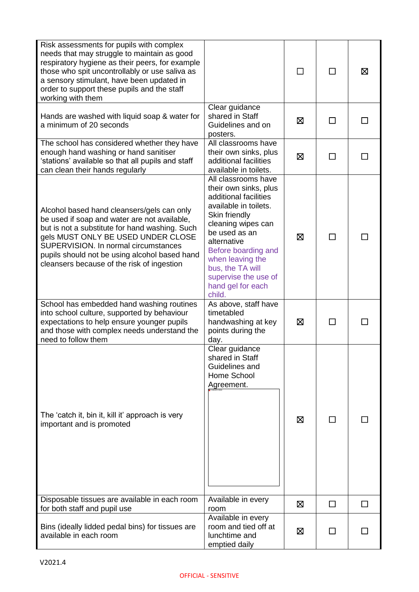| Risk assessments for pupils with complex<br>needs that may struggle to maintain as good<br>respiratory hygiene as their peers, for example<br>those who spit uncontrollably or use saliva as<br>a sensory stimulant, have been updated in<br>order to support these pupils and the staff<br>working with them             |                                                                                                                                                                                                                                                                                             |   | ΙI             | ⊠ |
|---------------------------------------------------------------------------------------------------------------------------------------------------------------------------------------------------------------------------------------------------------------------------------------------------------------------------|---------------------------------------------------------------------------------------------------------------------------------------------------------------------------------------------------------------------------------------------------------------------------------------------|---|----------------|---|
| Hands are washed with liquid soap & water for<br>a minimum of 20 seconds                                                                                                                                                                                                                                                  | Clear guidance<br>shared in Staff<br>Guidelines and on<br>posters.                                                                                                                                                                                                                          | ⊠ | П              |   |
| The school has considered whether they have<br>enough hand washing or hand sanitiser<br>'stations' available so that all pupils and staff<br>can clean their hands regularly                                                                                                                                              | All classrooms have<br>their own sinks, plus<br>additional facilities<br>available in toilets.                                                                                                                                                                                              | ⊠ |                |   |
| Alcohol based hand cleansers/gels can only<br>be used if soap and water are not available,<br>but is not a substitute for hand washing. Such<br>gels MUST ONLY BE USED UNDER CLOSE<br>SUPERVISION. In normal circumstances<br>pupils should not be using alcohol based hand<br>cleansers because of the risk of ingestion | All classrooms have<br>their own sinks, plus<br>additional facilities<br>available in toilets.<br>Skin friendly<br>cleaning wipes can<br>be used as an<br>alternative<br>Before boarding and<br>when leaving the<br>bus, the TA will<br>supervise the use of<br>hand gel for each<br>child. | ⊠ |                |   |
| School has embedded hand washing routines<br>into school culture, supported by behaviour<br>expectations to help ensure younger pupils<br>and those with complex needs understand the<br>need to follow them                                                                                                              | As above, staff have<br>timetabled<br>handwashing at key<br>points during the<br>day.                                                                                                                                                                                                       | ⊠ |                |   |
| The 'catch it, bin it, kill it' approach is very<br>important and is promoted                                                                                                                                                                                                                                             | Clear guidance<br>shared in Staff<br>Guidelines and<br>Home School<br>Agreement.                                                                                                                                                                                                            | ⊠ | $\mathsf{L}$   |   |
| Disposable tissues are available in each room<br>for both staff and pupil use                                                                                                                                                                                                                                             | Available in every<br>room                                                                                                                                                                                                                                                                  | ⊠ | ΙI             |   |
| Bins (ideally lidded pedal bins) for tissues are<br>available in each room                                                                                                                                                                                                                                                | Available in every<br>room and tied off at<br>lunchtime and<br>emptied daily                                                                                                                                                                                                                | ⊠ | $\blacksquare$ |   |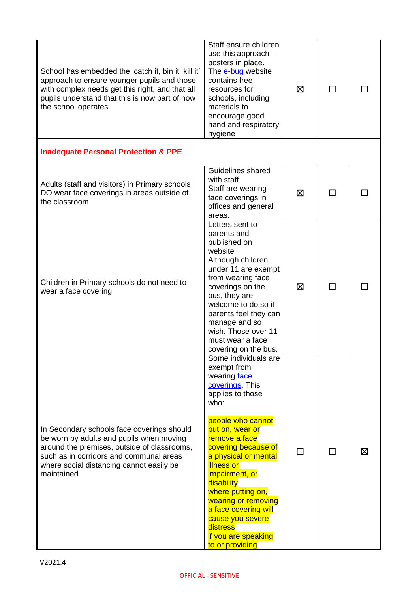| School has embedded the 'catch it, bin it, kill it'<br>approach to ensure younger pupils and those<br>with complex needs get this right, and that all<br>pupils understand that this is now part of how<br>the school operates             | Staff ensure children<br>use this approach $-$<br>posters in place.<br>The e-bug website<br>contains free<br>resources for<br>schools, including<br>materials to<br>encourage good<br>hand and respiratory<br>hygiene                                                                                                                                                                                                 | ⊠ | $\Box$ |   |
|--------------------------------------------------------------------------------------------------------------------------------------------------------------------------------------------------------------------------------------------|-----------------------------------------------------------------------------------------------------------------------------------------------------------------------------------------------------------------------------------------------------------------------------------------------------------------------------------------------------------------------------------------------------------------------|---|--------|---|
| <b>Inadequate Personal Protection &amp; PPE</b>                                                                                                                                                                                            |                                                                                                                                                                                                                                                                                                                                                                                                                       |   |        |   |
| Adults (staff and visitors) in Primary schools<br>DO wear face coverings in areas outside of<br>the classroom                                                                                                                              | Guidelines shared<br>with staff<br>Staff are wearing<br>face coverings in<br>offices and general<br>areas.                                                                                                                                                                                                                                                                                                            | 区 | ΙI     |   |
| Children in Primary schools do not need to<br>wear a face covering                                                                                                                                                                         | Letters sent to<br>parents and<br>published on<br>website<br>Although children<br>under 11 are exempt<br>from wearing face<br>coverings on the<br>bus, they are<br>welcome to do so if<br>parents feel they can<br>manage and so<br>wish. Those over 11<br>must wear a face<br>covering on the bus.                                                                                                                   | ⊠ |        |   |
| In Secondary schools face coverings should<br>be worn by adults and pupils when moving<br>around the premises, outside of classrooms,<br>such as in corridors and communal areas<br>where social distancing cannot easily be<br>maintained | Some individuals are<br>exempt from<br>wearing face<br>coverings. This<br>applies to those<br>who:<br>people who cannot<br>put on, wear or<br>remove a face<br>covering because of<br>a physical or mental<br><b>illness or</b><br><i>impairment</i> , or<br>disability<br>where putting on,<br>wearing or removing<br>a face covering will<br>cause you severe<br>distress<br>if you are speaking<br>to or providing |   | ΙI     | ⊠ |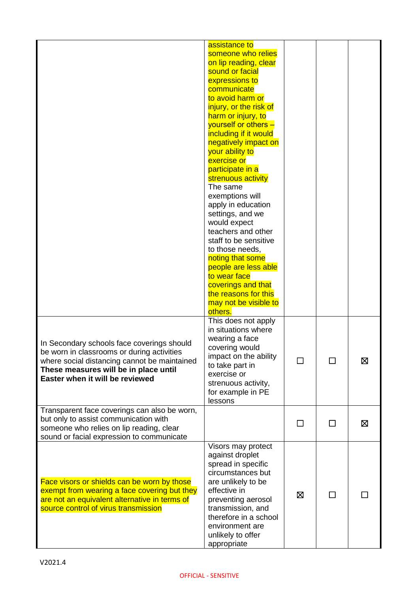|                                                                                                                                                                                                                      | assistance to<br>someone who relies<br>on lip reading, clear<br>sound or facial<br>expressions to<br>communicate<br>to avoid harm or<br>injury, or the risk of<br>harm or injury, to<br>yourself or others -<br>including if it would<br>negatively impact on<br>your ability to<br>exercise or<br>participate in a<br>strenuous activity<br>The same<br>exemptions will<br>apply in education<br>settings, and we<br>would expect<br>teachers and other<br>staff to be sensitive<br>to those needs,<br>noting that some<br>people are less able<br>to wear face<br>coverings and that<br>the reasons for this<br>may not be visible to<br>others. |        |               |   |
|----------------------------------------------------------------------------------------------------------------------------------------------------------------------------------------------------------------------|----------------------------------------------------------------------------------------------------------------------------------------------------------------------------------------------------------------------------------------------------------------------------------------------------------------------------------------------------------------------------------------------------------------------------------------------------------------------------------------------------------------------------------------------------------------------------------------------------------------------------------------------------|--------|---------------|---|
| In Secondary schools face coverings should<br>be worn in classrooms or during activities<br>where social distancing cannot be maintained<br>These measures will be in place until<br>Easter when it will be reviewed | This does not apply<br>in situations where<br>wearing a face<br>covering would<br>impact on the ability<br>to take part in<br>exercise or<br>strenuous activity,<br>for example in PE<br>lessons                                                                                                                                                                                                                                                                                                                                                                                                                                                   | $\Box$ | $\mathbf{I}$  | 区 |
| Transparent face coverings can also be worn,<br>but only to assist communication with<br>someone who relies on lip reading, clear<br>sound or facial expression to communicate                                       |                                                                                                                                                                                                                                                                                                                                                                                                                                                                                                                                                                                                                                                    |        | $\mathcal{L}$ | ⊠ |
| Face visors or shields can be worn by those<br>exempt from wearing a face covering but they<br>are not an equivalent alternative in terms of<br>source control of virus transmission                                 | Visors may protect<br>against droplet<br>spread in specific<br>circumstances but<br>are unlikely to be<br>effective in<br>preventing aerosol<br>transmission, and<br>therefore in a school<br>environment are<br>unlikely to offer<br>appropriate                                                                                                                                                                                                                                                                                                                                                                                                  | ⊠      | $\Box$        |   |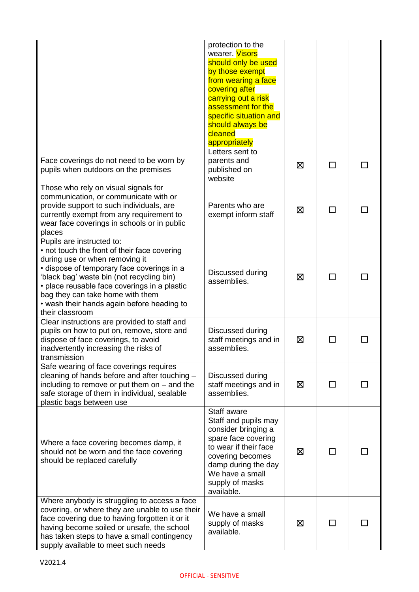|                                                                                                                                                                                                                                                                                                                                                             | protection to the<br>wearer. Visors<br>should only be used<br>by those exempt<br>from wearing a face<br>covering after<br>carrying out a risk<br>assessment for the<br>specific situation and<br>should always be<br>cleaned<br>appropriately |   |               |  |
|-------------------------------------------------------------------------------------------------------------------------------------------------------------------------------------------------------------------------------------------------------------------------------------------------------------------------------------------------------------|-----------------------------------------------------------------------------------------------------------------------------------------------------------------------------------------------------------------------------------------------|---|---------------|--|
| Face coverings do not need to be worn by<br>pupils when outdoors on the premises                                                                                                                                                                                                                                                                            | Letters sent to<br>parents and<br>published on<br>website                                                                                                                                                                                     | ⊠ | <b>Talent</b> |  |
| Those who rely on visual signals for<br>communication, or communicate with or<br>provide support to such individuals, are<br>currently exempt from any requirement to<br>wear face coverings in schools or in public<br>places                                                                                                                              | Parents who are<br>exempt inform staff                                                                                                                                                                                                        | ⊠ | ΙI            |  |
| Pupils are instructed to:<br>• not touch the front of their face covering<br>during use or when removing it<br>· dispose of temporary face coverings in a<br>'black bag' waste bin (not recycling bin)<br>• place reusable face coverings in a plastic<br>bag they can take home with them<br>• wash their hands again before heading to<br>their classroom | Discussed during<br>assemblies.                                                                                                                                                                                                               | ⊠ | ΙI            |  |
| Clear instructions are provided to staff and<br>pupils on how to put on, remove, store and<br>dispose of face coverings, to avoid<br>inadvertently increasing the risks of<br>transmission                                                                                                                                                                  | Discussed during<br>staff meetings and in<br>assemblies.                                                                                                                                                                                      | ⊠ |               |  |
| Safe wearing of face coverings requires<br>cleaning of hands before and after touching -<br>including to remove or put them on $-$ and the<br>safe storage of them in individual, sealable<br>plastic bags between use                                                                                                                                      | Discussed during<br>staff meetings and in<br>assemblies.                                                                                                                                                                                      | ⊠ | $\Box$        |  |
| Where a face covering becomes damp, it<br>should not be worn and the face covering<br>should be replaced carefully                                                                                                                                                                                                                                          | Staff aware<br>Staff and pupils may<br>consider bringing a<br>spare face covering<br>to wear if their face<br>covering becomes<br>damp during the day<br>We have a small<br>supply of masks<br>available.                                     | ⊠ | $\mathbf{I}$  |  |
| Where anybody is struggling to access a face<br>covering, or where they are unable to use their<br>face covering due to having forgotten it or it<br>having become soiled or unsafe, the school<br>has taken steps to have a small contingency<br>supply available to meet such needs                                                                       | We have a small<br>supply of masks<br>available.                                                                                                                                                                                              | ⊠ |               |  |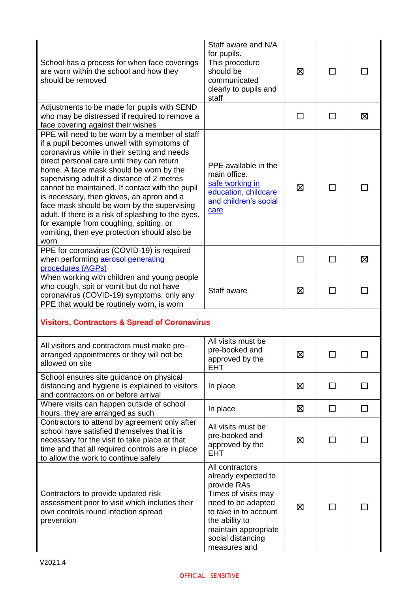| School has a process for when face coverings<br>are worn within the school and how they<br>should be removed                                                                                                                                                                                                                                                                                                                                                                                                                                                                                 | Staff aware and N/A<br>for pupils.<br>This procedure<br>should be<br>communicated<br>clearly to pupils and<br>staff                                                                                        | ⊠       | П  |   |
|----------------------------------------------------------------------------------------------------------------------------------------------------------------------------------------------------------------------------------------------------------------------------------------------------------------------------------------------------------------------------------------------------------------------------------------------------------------------------------------------------------------------------------------------------------------------------------------------|------------------------------------------------------------------------------------------------------------------------------------------------------------------------------------------------------------|---------|----|---|
| Adjustments to be made for pupils with SEND<br>who may be distressed if required to remove a<br>face covering against their wishes                                                                                                                                                                                                                                                                                                                                                                                                                                                           |                                                                                                                                                                                                            | $\perp$ | ΙI | ⊠ |
| PPE will need to be worn by a member of staff<br>if a pupil becomes unwell with symptoms of<br>coronavirus while in their setting and needs<br>direct personal care until they can return<br>home. A face mask should be worn by the<br>supervising adult if a distance of 2 metres<br>cannot be maintained. If contact with the pupil<br>is necessary, then gloves, an apron and a<br>face mask should be worn by the supervising<br>adult. If there is a risk of splashing to the eyes,<br>for example from coughing, spitting, or<br>vomiting, then eye protection should also be<br>worn | PPE available in the<br>main office.<br>safe working in<br>education, childcare<br>and children's social<br>care                                                                                           | 区       | ΙI |   |
| PPE for coronavirus (COVID-19) is required<br>when performing aerosol generating<br>procedures (AGPs)                                                                                                                                                                                                                                                                                                                                                                                                                                                                                        |                                                                                                                                                                                                            | $\perp$ | П  | ⊠ |
| When working with children and young people<br>who cough, spit or vomit but do not have<br>coronavirus (COVID-19) symptoms, only any<br>PPE that would be routinely worn, is worn                                                                                                                                                                                                                                                                                                                                                                                                            | Staff aware                                                                                                                                                                                                | ⊠       | □  |   |
| <b>Visitors, Contractors &amp; Spread of Coronavirus</b>                                                                                                                                                                                                                                                                                                                                                                                                                                                                                                                                     |                                                                                                                                                                                                            |         |    |   |
| All visitors and contractors must make pre-<br>arranged appointments or they will not be<br>allowed on site                                                                                                                                                                                                                                                                                                                                                                                                                                                                                  | All visits must be<br>pre-booked and<br>approved by the<br><b>EHT</b>                                                                                                                                      | Ŋ       |    |   |
| School ensures site guidance on physical<br>distancing and hygiene is explained to visitors<br>and contractors on or before arrival                                                                                                                                                                                                                                                                                                                                                                                                                                                          | In place                                                                                                                                                                                                   | ⊠       | □  |   |
| Where visits can happen outside of school<br>hours, they are arranged as such                                                                                                                                                                                                                                                                                                                                                                                                                                                                                                                | In place                                                                                                                                                                                                   | ⊠       | □  | □ |
| Contractors to attend by agreement only after<br>school have satisfied themselves that it is<br>necessary for the visit to take place at that<br>time and that all required controls are in place<br>to allow the work to continue safely                                                                                                                                                                                                                                                                                                                                                    | All visits must be<br>pre-booked and<br>approved by the<br><b>EHT</b>                                                                                                                                      | ⊠       |    |   |
| Contractors to provide updated risk<br>assessment prior to visit which includes their<br>own controls round infection spread<br>prevention                                                                                                                                                                                                                                                                                                                                                                                                                                                   | All contractors<br>already expected to<br>provide RAs<br>Times of visits may<br>need to be adapted<br>to take in to account<br>the ability to<br>maintain appropriate<br>social distancing<br>measures and | ⊠       |    |   |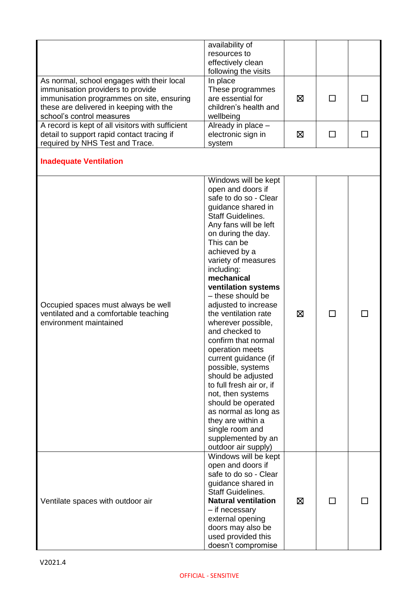|                                                                                                                                                                                                      | availability of<br>resources to<br>effectively clean<br>following the visits                                                                                                                                                                                                                                                                                                                                                                                                                                                                                                                                                                                                                |   |              |  |
|------------------------------------------------------------------------------------------------------------------------------------------------------------------------------------------------------|---------------------------------------------------------------------------------------------------------------------------------------------------------------------------------------------------------------------------------------------------------------------------------------------------------------------------------------------------------------------------------------------------------------------------------------------------------------------------------------------------------------------------------------------------------------------------------------------------------------------------------------------------------------------------------------------|---|--------------|--|
| As normal, school engages with their local<br>immunisation providers to provide<br>immunisation programmes on site, ensuring<br>these are delivered in keeping with the<br>school's control measures | In place<br>These programmes<br>are essential for<br>children's health and<br>wellbeing                                                                                                                                                                                                                                                                                                                                                                                                                                                                                                                                                                                                     | ⊠ | ΙI           |  |
| A record is kept of all visitors with sufficient<br>detail to support rapid contact tracing if<br>required by NHS Test and Trace.                                                                    | Already in place -<br>electronic sign in<br>system                                                                                                                                                                                                                                                                                                                                                                                                                                                                                                                                                                                                                                          | ⊠ | $\mathsf{L}$ |  |
| <b>Inadequate Ventilation</b>                                                                                                                                                                        |                                                                                                                                                                                                                                                                                                                                                                                                                                                                                                                                                                                                                                                                                             |   |              |  |
| Occupied spaces must always be well<br>ventilated and a comfortable teaching<br>environment maintained                                                                                               | Windows will be kept<br>open and doors if<br>safe to do so - Clear<br>guidance shared in<br><b>Staff Guidelines.</b><br>Any fans will be left<br>on during the day.<br>This can be<br>achieved by a<br>variety of measures<br>including:<br>mechanical<br>ventilation systems<br>- these should be<br>adjusted to increase<br>the ventilation rate<br>wherever possible,<br>and checked to<br>confirm that normal<br>operation meets<br>current guidance (if<br>possible, systems<br>should be adjusted<br>to full fresh air or, if<br>not, then systems<br>should be operated<br>as normal as long as<br>they are within a<br>single room and<br>supplemented by an<br>outdoor air supply) | ⊠ | $\Box$       |  |
| Ventilate spaces with outdoor air                                                                                                                                                                    | Windows will be kept<br>open and doors if<br>safe to do so - Clear<br>guidance shared in<br><b>Staff Guidelines.</b><br><b>Natural ventilation</b><br>$-$ if necessary<br>external opening<br>doors may also be<br>used provided this<br>doesn't compromise                                                                                                                                                                                                                                                                                                                                                                                                                                 | ⊠ | $\Box$       |  |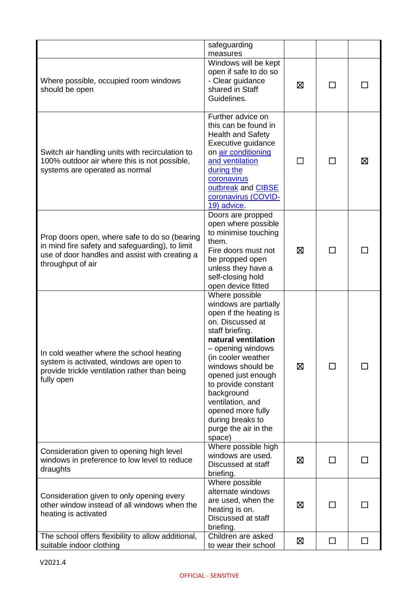|                                                                                                                                                                         | safeguarding<br>measures                                                                                                                                                                                                                                                                                                                                  |   |              |   |
|-------------------------------------------------------------------------------------------------------------------------------------------------------------------------|-----------------------------------------------------------------------------------------------------------------------------------------------------------------------------------------------------------------------------------------------------------------------------------------------------------------------------------------------------------|---|--------------|---|
| Where possible, occupied room windows<br>should be open                                                                                                                 | Windows will be kept<br>open if safe to do so<br>- Clear guidance<br>shared in Staff<br>Guidelines.                                                                                                                                                                                                                                                       | ⊠ |              |   |
| Switch air handling units with recirculation to<br>100% outdoor air where this is not possible,<br>systems are operated as normal                                       | Further advice on<br>this can be found in<br><b>Health and Safety</b><br>Executive guidance<br>on air conditioning<br>and ventilation<br>during the<br>coronavirus<br>outbreak and CIBSE<br>coronavirus (COVID-<br>19) advice.                                                                                                                            |   |              | ⊠ |
| Prop doors open, where safe to do so (bearing<br>in mind fire safety and safeguarding), to limit<br>use of door handles and assist with creating a<br>throughput of air | Doors are propped<br>open where possible<br>to minimise touching<br>them.<br>Fire doors must not<br>be propped open<br>unless they have a<br>self-closing hold<br>open device fitted                                                                                                                                                                      | ⊠ |              |   |
| In cold weather where the school heating<br>system is activated, windows are open to<br>provide trickle ventilation rather than being<br>fully open                     | Where possible<br>windows are partially<br>open if the heating is<br>on. Discussed at<br>staff briefing.<br>natural ventilation<br>- opening windows<br>(in cooler weather<br>windows should be<br>opened just enough<br>to provide constant<br>background<br>ventilation, and<br>opened more fully<br>during breaks to<br>purge the air in the<br>space) | ⊠ | П            |   |
| Consideration given to opening high level<br>windows in preference to low level to reduce<br>draughts                                                                   | Where possible high<br>windows are used.<br>Discussed at staff<br>briefing.                                                                                                                                                                                                                                                                               | ⊠ | $\mathbf{I}$ |   |
| Consideration given to only opening every<br>other window instead of all windows when the<br>heating is activated                                                       | Where possible<br>alternate windows<br>are used, when the<br>heating is on.<br>Discussed at staff<br>briefing.                                                                                                                                                                                                                                            | ⊠ | П            |   |
| The school offers flexibility to allow additional,<br>suitable indoor clothing                                                                                          | Children are asked<br>to wear their school                                                                                                                                                                                                                                                                                                                | Ø | П            |   |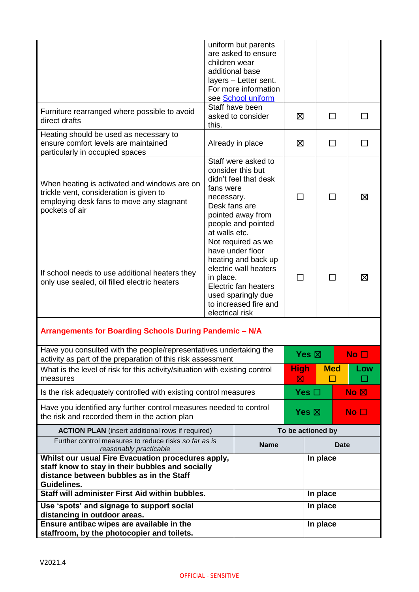|                                                                                                                                                                   | children wear                                                                                                                                                                                 | uniform but parents<br>are asked to ensure<br>additional base<br>layers - Letter sent.<br>For more information<br>see School uniform |                  |                   |            |                    |
|-------------------------------------------------------------------------------------------------------------------------------------------------------------------|-----------------------------------------------------------------------------------------------------------------------------------------------------------------------------------------------|--------------------------------------------------------------------------------------------------------------------------------------|------------------|-------------------|------------|--------------------|
| Furniture rearranged where possible to avoid<br>direct drafts                                                                                                     | this.                                                                                                                                                                                         | Staff have been<br>asked to consider                                                                                                 | ⊠                |                   | П          |                    |
| Heating should be used as necessary to<br>ensure comfort levels are maintained<br>particularly in occupied spaces                                                 |                                                                                                                                                                                               | Already in place                                                                                                                     | 区                |                   | П          | H                  |
| When heating is activated and windows are on<br>trickle vent, consideration is given to<br>employing desk fans to move any stagnant<br>pockets of air             | Staff were asked to<br>consider this but<br>didn't feel that desk<br>fans were<br>necessary.<br>Desk fans are<br>pointed away from<br>people and pointed<br>at walls etc.                     |                                                                                                                                      | П<br>ΙI          |                   |            | ⊠                  |
| If school needs to use additional heaters they<br>only use sealed, oil filled electric heaters                                                                    | Not required as we<br>have under floor<br>heating and back up<br>electric wall heaters<br>in place.<br>Electric fan heaters<br>used sparingly due<br>to increased fire and<br>electrical risk |                                                                                                                                      | П                |                   | П          | ⊠                  |
| Arrangements for Boarding Schools During Pandemic - N/A                                                                                                           |                                                                                                                                                                                               |                                                                                                                                      |                  |                   |            |                    |
| Have you consulted with the people/representatives undertaking the<br>activity as part of the preparation of this risk assessment                                 |                                                                                                                                                                                               |                                                                                                                                      |                  | Yes $\boxtimes$   |            | No <sub>1</sub>    |
| What is the level of risk for this activity/situation with existing control<br>measures                                                                           |                                                                                                                                                                                               |                                                                                                                                      | <b>High</b><br>区 |                   | <b>Med</b> | Low<br>$\sim$      |
| Is the risk adequately controlled with existing control measures                                                                                                  |                                                                                                                                                                                               |                                                                                                                                      |                  | Yes $\square$     |            | $No \n  \boxtimes$ |
| Have you identified any further control measures needed to control<br>the risk and recorded them in the action plan                                               |                                                                                                                                                                                               |                                                                                                                                      |                  | Yes $\boxtimes$   |            | No $\square$       |
| <b>ACTION PLAN</b> (insert additional rows if required)                                                                                                           |                                                                                                                                                                                               |                                                                                                                                      |                  | To be actioned by |            |                    |
| Further control measures to reduce risks so far as is<br>reasonably practicable                                                                                   |                                                                                                                                                                                               | <b>Name</b>                                                                                                                          |                  |                   | Date       |                    |
| Whilst our usual Fire Evacuation procedures apply,<br>staff know to stay in their bubbles and socially<br>distance between bubbles as in the Staff<br>Guidelines. |                                                                                                                                                                                               |                                                                                                                                      |                  | In place          |            |                    |
| Staff will administer First Aid within bubbles.                                                                                                                   |                                                                                                                                                                                               |                                                                                                                                      |                  | In place          |            |                    |
| Use 'spots' and signage to support social<br>distancing in outdoor areas.                                                                                         |                                                                                                                                                                                               |                                                                                                                                      |                  | In place          |            |                    |
| Ensure antibac wipes are available in the<br>staffroom, by the photocopier and toilets.                                                                           |                                                                                                                                                                                               |                                                                                                                                      |                  | In place          |            |                    |